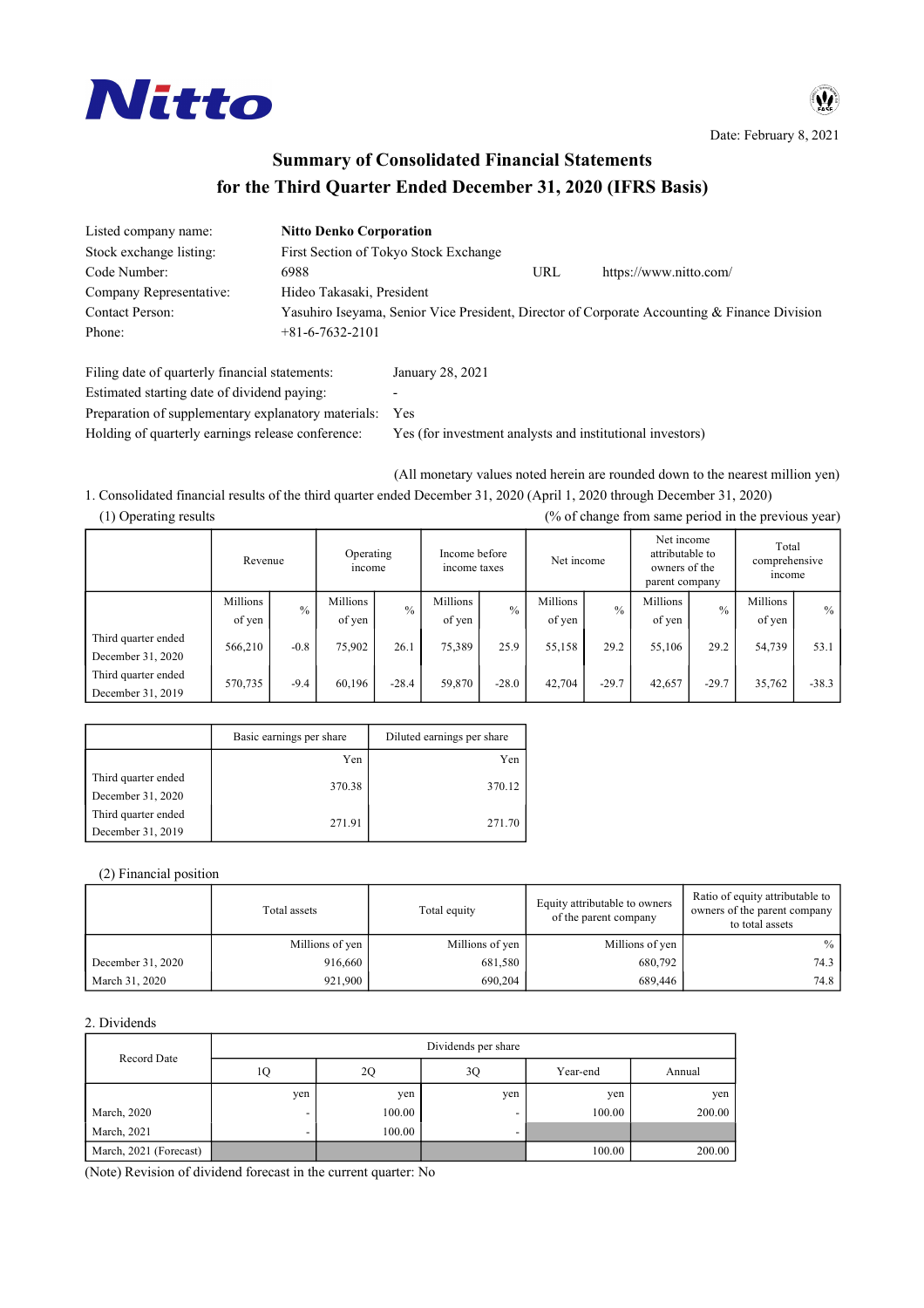

Date: February 8, 2021

# **Summary of Consolidated Financial Statements for the Third Quarter Ended December 31, 2020 (IFRS Basis)**

| Listed company name:                           | <b>Nitto Denko Corporation</b> |                                       |     |                                                                                              |
|------------------------------------------------|--------------------------------|---------------------------------------|-----|----------------------------------------------------------------------------------------------|
| Stock exchange listing:                        |                                | First Section of Tokyo Stock Exchange |     |                                                                                              |
| Code Number:                                   | 6988                           |                                       | URL | https://www.nitto.com/                                                                       |
| Company Representative:                        | Hideo Takasaki, President      |                                       |     |                                                                                              |
| Contact Person:                                |                                |                                       |     | Yasuhiro Iseyama, Senior Vice President, Director of Corporate Accounting & Finance Division |
| Phone:                                         | $+81 - 6 - 7632 - 2101$        |                                       |     |                                                                                              |
| Filing date of quarterly financial statements: |                                | January 28, 2021                      |     |                                                                                              |
| Estimated starting date of dividend paying:    |                                | $\overline{\phantom{a}}$              |     |                                                                                              |

Preparation of supplementary explanatory materials: Yes

Holding of quarterly earnings release conference: Yes (for investment analysts and institutional investors)

(All monetary values noted herein are rounded down to the nearest million yen)

1. Consolidated financial results of the third quarter ended December 31, 2020 (April 1, 2020 through December 31, 2020) (1) Operating results (% of change from same period in the previous year)

|                                          | Revenue            |               | Operating<br>income |               | Income before<br>income taxes |               | Net income         |               | Net income<br>attributable to<br>owners of the<br>parent company |               | Total<br>comprehensive<br>income |         |
|------------------------------------------|--------------------|---------------|---------------------|---------------|-------------------------------|---------------|--------------------|---------------|------------------------------------------------------------------|---------------|----------------------------------|---------|
|                                          | Millions<br>of yen | $\frac{0}{0}$ | Millions<br>of yen  | $\frac{0}{0}$ | Millions<br>of yen            | $\frac{0}{0}$ | Millions<br>of yen | $\frac{0}{0}$ | Millions<br>of yen                                               | $\frac{0}{0}$ | Millions<br>of yen               | $\%$    |
| Third quarter ended<br>December 31, 2020 | 566,210            | $-0.8$        | 75,902              | 26.1          | 75,389                        | 25.9          | 55,158             | 29.2          | 55,106                                                           | 29.2          | 54,739                           | 53.1    |
| Third quarter ended<br>December 31, 2019 | 570,735            | $-9.4$        | 60,196              | $-28.4$       | 59,870                        | $-28.0$       | 42,704             | $-29.7$       | 42,657                                                           | $-29.7$       | 35,762                           | $-38.3$ |

|                     | Basic earnings per share | Diluted earnings per share |
|---------------------|--------------------------|----------------------------|
|                     | Yen                      | Yen                        |
| Third quarter ended |                          |                            |
| December 31, 2020   | 370.38                   | 370.12                     |
| Third quarter ended | 271.91                   | 271.70                     |
| December 31, 2019   |                          |                            |

(2) Financial position

|                   | Total assets    | Total equity    | Equity attributable to owners<br>of the parent company | Ratio of equity attributable to<br>owners of the parent company<br>to total assets |  |
|-------------------|-----------------|-----------------|--------------------------------------------------------|------------------------------------------------------------------------------------|--|
|                   | Millions of yen | Millions of yen | Millions of yen                                        | $\%$                                                                               |  |
| December 31, 2020 | 916,660         | 681,580         | 680.792                                                | 74.3                                                                               |  |
| March 31, 2020    | 921.900         | 690.204         | 689.446                                                | 74.8                                                                               |  |

### 2. Dividends

|                        |                          | Dividends per share |                          |          |        |  |  |  |  |  |
|------------------------|--------------------------|---------------------|--------------------------|----------|--------|--|--|--|--|--|
| Record Date            | 1Q                       | 2Q                  | 3Q                       | Year-end | Annual |  |  |  |  |  |
|                        | yen                      | yen                 | yen                      | yen      | ven    |  |  |  |  |  |
| March, 2020            |                          | 100.00              |                          | 100.00   | 200.00 |  |  |  |  |  |
| March, 2021            | $\overline{\phantom{0}}$ | 100.00              | $\overline{\phantom{a}}$ |          |        |  |  |  |  |  |
| March, 2021 (Forecast) |                          |                     |                          | 100.00   | 200.00 |  |  |  |  |  |

(Note) Revision of dividend forecast in the current quarter: No

 $\boldsymbol{\Psi}$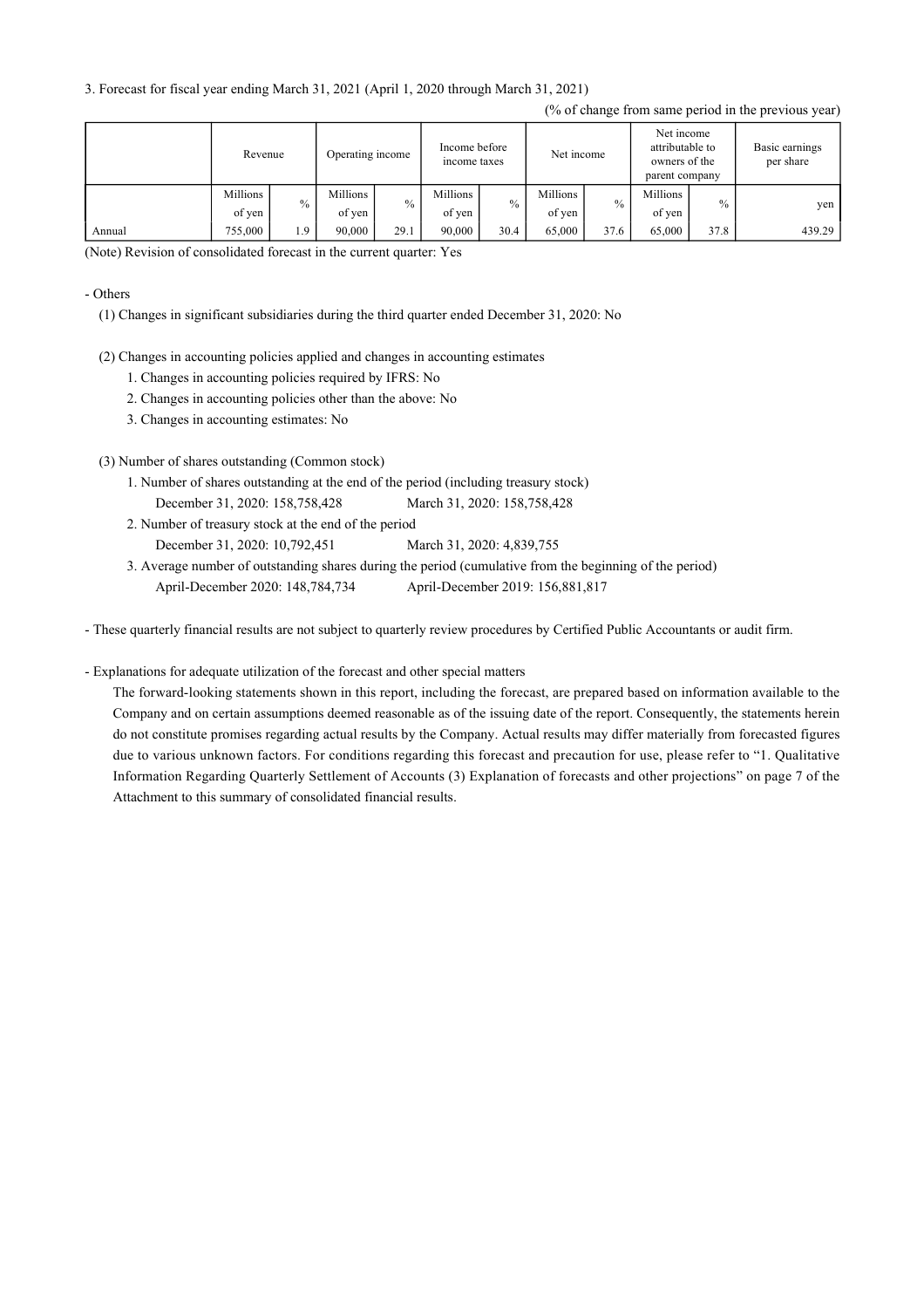3. Forecast for fiscal year ending March 31, 2021 (April 1, 2020 through March 31, 2021)

|        |          | Operating income<br>Revenue |          | Income before<br>income taxes |          | Net income    |          | Net income<br>attributable to<br>owners of the<br>parent company |          | Basic earnings<br>per share |        |
|--------|----------|-----------------------------|----------|-------------------------------|----------|---------------|----------|------------------------------------------------------------------|----------|-----------------------------|--------|
|        | Millions | $\%$                        | Millions | $\%$                          | Millions | $\frac{0}{0}$ | Millions | $\frac{0}{0}$                                                    | Millions | $\frac{0}{0}$               | yen    |
|        | of yen   |                             | of yen   |                               | of yen   |               | of yen   |                                                                  | of yen   |                             |        |
| Annual | 755,000  | 1.9                         | 90.000   | 29.1                          | 90,000   | 30.4          | 65.000   | 37.6                                                             | 65,000   | 37.8                        | 439.29 |

(Note) Revision of consolidated forecast in the current quarter: Yes

#### - Others

(1) Changes in significant subsidiaries during the third quarter ended December 31, 2020: No

- (2) Changes in accounting policies applied and changes in accounting estimates
	- 1. Changes in accounting policies required by IFRS: No
	- 2. Changes in accounting policies other than the above: No
	- 3. Changes in accounting estimates: No
- (3) Number of shares outstanding (Common stock)
	- 1. Number of shares outstanding at the end of the period (including treasury stock) December 31, 2020: 158,758,428 March 31, 2020: 158,758,428
	- 2. Number of treasury stock at the end of the period December 31, 2020: 10,792,451 March 31, 2020: 4,839,755
	- 3. Average number of outstanding shares during the period (cumulative from the beginning of the period) April-December 2020: 148,784,734 April-December 2019: 156,881,817

- These quarterly financial results are not subject to quarterly review procedures by Certified Public Accountants or audit firm.

### - Explanations for adequate utilization of the forecast and other special matters

The forward-looking statements shown in this report, including the forecast, are prepared based on information available to the Company and on certain assumptions deemed reasonable as of the issuing date of the report. Consequently, the statements herein do not constitute promises regarding actual results by the Company. Actual results may differ materially from forecasted figures due to various unknown factors. For conditions regarding this forecast and precaution for use, please refer to "1. Qualitative Information Regarding Quarterly Settlement of Accounts (3) Explanation of forecasts and other projections" on page 7 of the Attachment to this summary of consolidated financial results.

#### (% of change from same period in the previous year)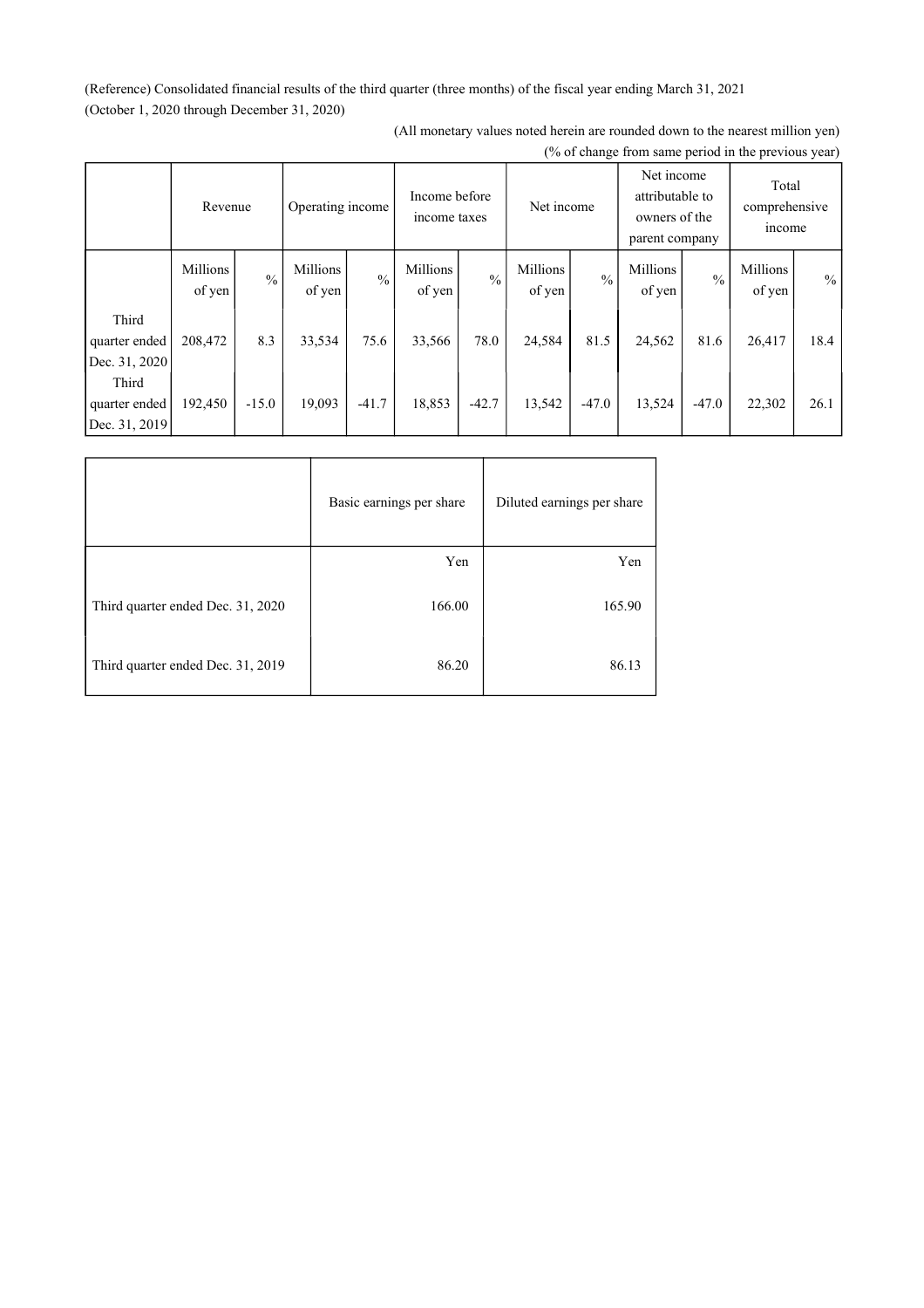(Reference) Consolidated financial results of the third quarter (three months) of the fiscal year ending March 31, 2021 (October 1, 2020 through December 31, 2020)

|                                         | Revenue            |               | Operating income   |               | Income before<br>income taxes |               | Net income         |               | Net income<br>attributable to<br>owners of the<br>parent company |               | Total<br>comprehensive<br>income |      |
|-----------------------------------------|--------------------|---------------|--------------------|---------------|-------------------------------|---------------|--------------------|---------------|------------------------------------------------------------------|---------------|----------------------------------|------|
|                                         | Millions<br>of yen | $\frac{0}{0}$ | Millions<br>of yen | $\frac{0}{0}$ | Millions<br>of yen            | $\frac{0}{0}$ | Millions<br>of yen | $\frac{0}{0}$ | Millions<br>of yen                                               | $\frac{0}{0}$ | Millions<br>of yen               | $\%$ |
| Third<br>quarter ended<br>Dec. 31, 2020 | 208,472            | 8.3           | 33,534             | 75.6          | 33,566                        | 78.0          | 24,584             | 81.5          | 24,562                                                           | 81.6          | 26,417                           | 18.4 |
| Third<br>quarter ended<br>Dec. 31, 2019 | 192,450            | $-15.0$       | 19,093             | $-41.7$       | 18,853                        | $-42.7$       | 13,542             | $-47.0$       | 13,524                                                           | $-47.0$       | 22,302                           | 26.1 |

(All monetary values noted herein are rounded down to the nearest million yen) (% of change from same period in the previous year)

|                                   | Basic earnings per share | Diluted earnings per share |
|-----------------------------------|--------------------------|----------------------------|
|                                   | Yen                      | Yen                        |
| Third quarter ended Dec. 31, 2020 | 166.00                   | 165.90                     |
| Third quarter ended Dec. 31, 2019 | 86.20                    | 86.13                      |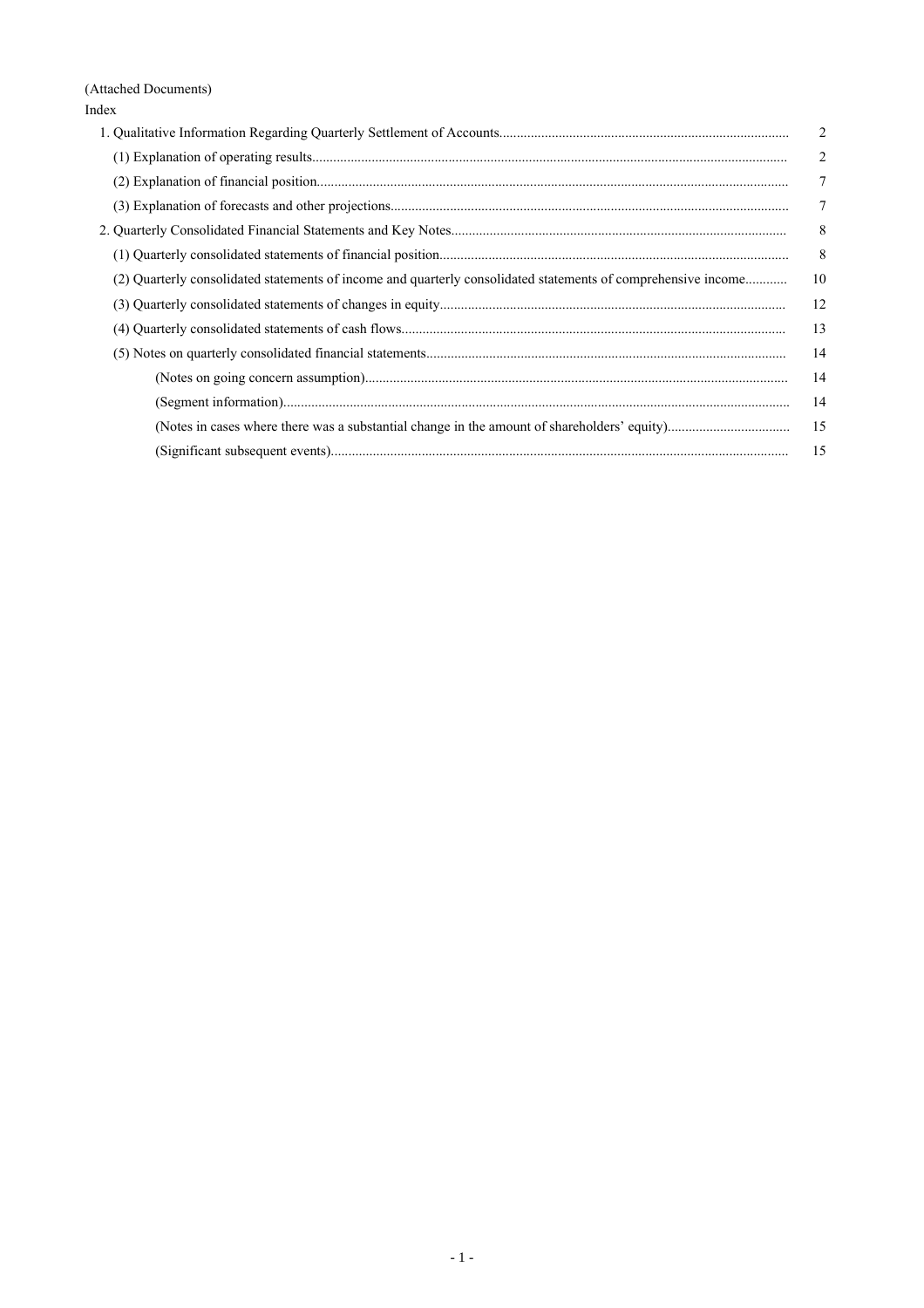(Attached Documents) Index

|                                                                                                               | 2              |
|---------------------------------------------------------------------------------------------------------------|----------------|
|                                                                                                               | $\overline{2}$ |
|                                                                                                               | 7              |
|                                                                                                               | 7              |
|                                                                                                               | 8              |
|                                                                                                               | 8              |
| (2) Quarterly consolidated statements of income and quarterly consolidated statements of comprehensive income | 10             |
|                                                                                                               | 12             |
|                                                                                                               | 13             |
|                                                                                                               | 14             |
|                                                                                                               | 14             |
|                                                                                                               | 14             |
|                                                                                                               | -15            |
|                                                                                                               | 15             |
|                                                                                                               |                |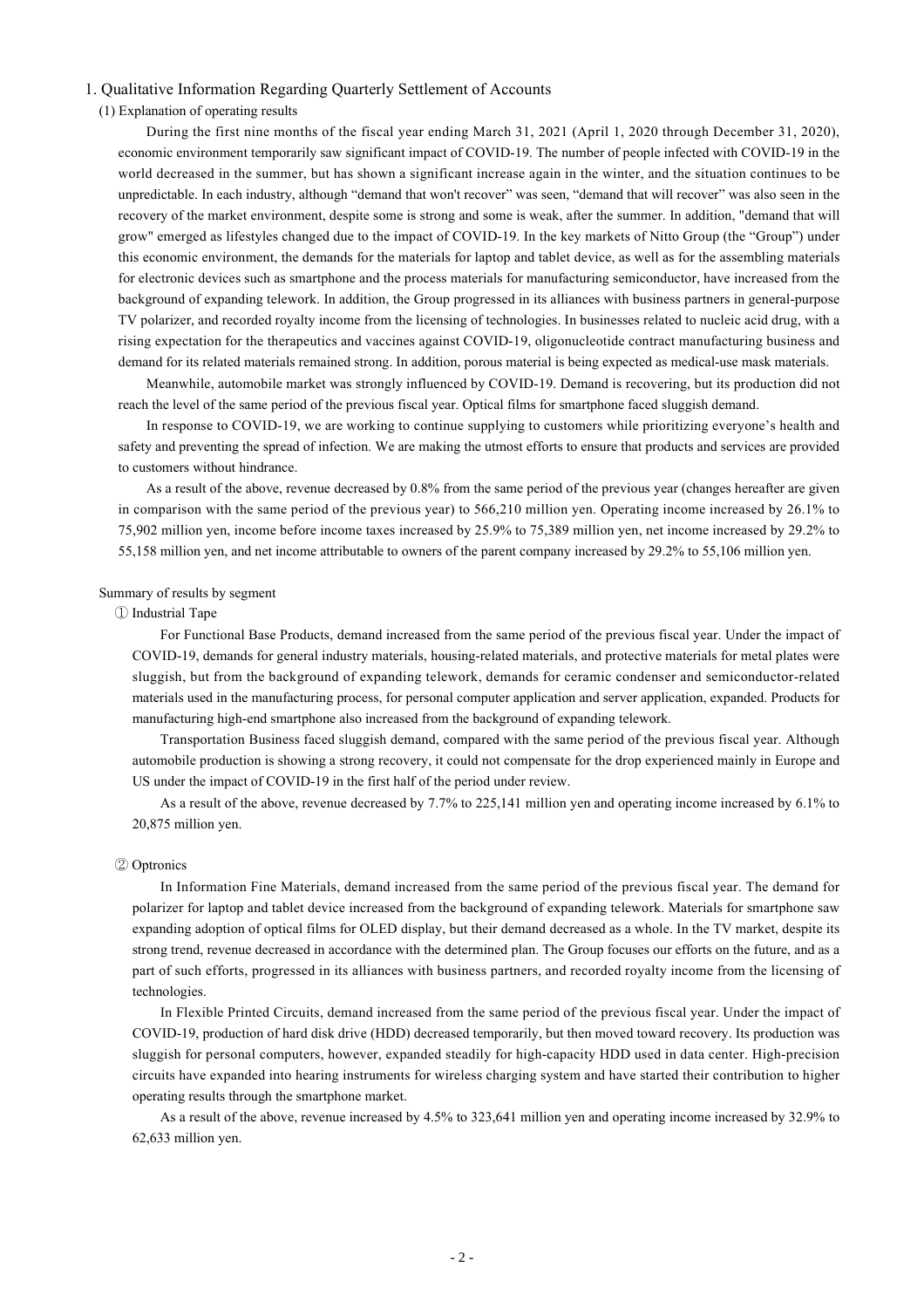## 1. Qualitative Information Regarding Quarterly Settlement of Accounts

(1) Explanation of operating results

During the first nine months of the fiscal year ending March 31, 2021 (April 1, 2020 through December 31, 2020), economic environment temporarily saw significant impact of COVID-19. The number of people infected with COVID-19 in the world decreased in the summer, but has shown a significant increase again in the winter, and the situation continues to be unpredictable. In each industry, although "demand that won't recover" was seen, "demand that will recover" was also seen in the recovery of the market environment, despite some is strong and some is weak, after the summer. In addition, "demand that will grow" emerged as lifestyles changed due to the impact of COVID-19. In the key markets of Nitto Group (the "Group") under this economic environment, the demands for the materials for laptop and tablet device, as well as for the assembling materials for electronic devices such as smartphone and the process materials for manufacturing semiconductor, have increased from the background of expanding telework. In addition, the Group progressed in its alliances with business partners in general-purpose TV polarizer, and recorded royalty income from the licensing of technologies. In businesses related to nucleic acid drug, with a rising expectation for the therapeutics and vaccines against COVID-19, oligonucleotide contract manufacturing business and demand for its related materials remained strong. In addition, porous material is being expected as medical-use mask materials.

Meanwhile, automobile market was strongly influenced by COVID-19. Demand is recovering, but its production did not reach the level of the same period of the previous fiscal year. Optical films for smartphone faced sluggish demand.

In response to COVID-19, we are working to continue supplying to customers while prioritizing everyone's health and safety and preventing the spread of infection. We are making the utmost efforts to ensure that products and services are provided to customers without hindrance.

As a result of the above, revenue decreased by 0.8% from the same period of the previous year (changes hereafter are given in comparison with the same period of the previous year) to 566,210 million yen. Operating income increased by 26.1% to 75,902 million yen, income before income taxes increased by 25.9% to 75,389 million yen, net income increased by 29.2% to 55,158 million yen, and net income attributable to owners of the parent company increased by 29.2% to 55,106 million yen.

## Summary of results by segment

#### ① Industrial Tape

For Functional Base Products, demand increased from the same period of the previous fiscal year. Under the impact of COVID-19, demands for general industry materials, housing-related materials, and protective materials for metal plates were sluggish, but from the background of expanding telework, demands for ceramic condenser and semiconductor-related materials used in the manufacturing process, for personal computer application and server application, expanded. Products for manufacturing high-end smartphone also increased from the background of expanding telework.

Transportation Business faced sluggish demand, compared with the same period of the previous fiscal year. Although automobile production is showing a strong recovery, it could not compensate for the drop experienced mainly in Europe and US under the impact of COVID-19 in the first half of the period under review.

As a result of the above, revenue decreased by 7.7% to 225,141 million yen and operating income increased by 6.1% to 20,875 million yen.

#### ② Optronics

In Information Fine Materials, demand increased from the same period of the previous fiscal year. The demand for polarizer for laptop and tablet device increased from the background of expanding telework. Materials for smartphone saw expanding adoption of optical films for OLED display, but their demand decreased as a whole. In the TV market, despite its strong trend, revenue decreased in accordance with the determined plan. The Group focuses our efforts on the future, and as a part of such efforts, progressed in its alliances with business partners, and recorded royalty income from the licensing of technologies.

In Flexible Printed Circuits, demand increased from the same period of the previous fiscal year. Under the impact of COVID-19, production of hard disk drive (HDD) decreased temporarily, but then moved toward recovery. Its production was sluggish for personal computers, however, expanded steadily for high-capacity HDD used in data center. High-precision circuits have expanded into hearing instruments for wireless charging system and have started their contribution to higher operating results through the smartphone market.

As a result of the above, revenue increased by 4.5% to 323,641 million yen and operating income increased by 32.9% to 62,633 million yen.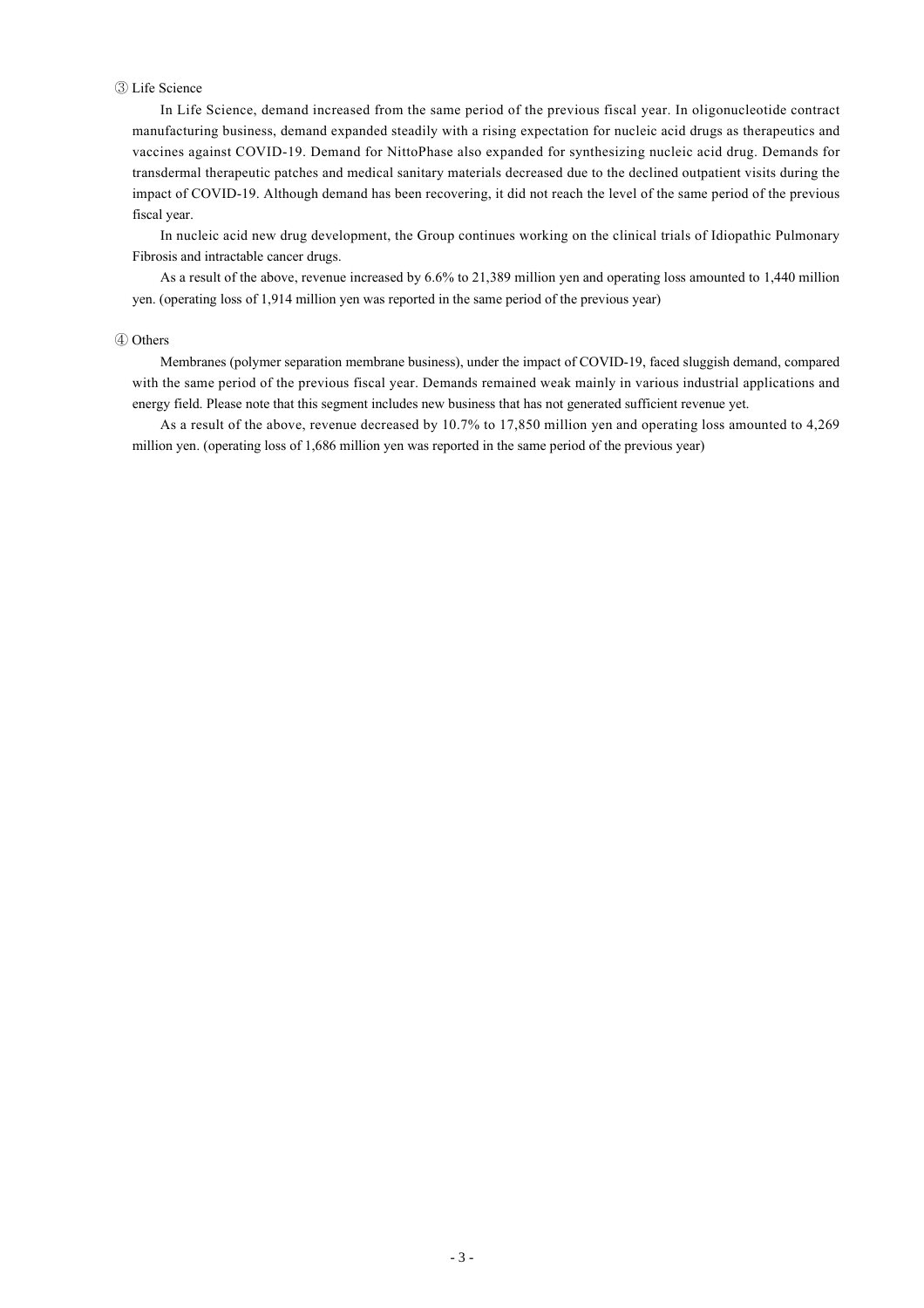### ③ Life Science

In Life Science, demand increased from the same period of the previous fiscal year. In oligonucleotide contract manufacturing business, demand expanded steadily with a rising expectation for nucleic acid drugs as therapeutics and vaccines against COVID-19. Demand for NittoPhase also expanded for synthesizing nucleic acid drug. Demands for transdermal therapeutic patches and medical sanitary materials decreased due to the declined outpatient visits during the impact of COVID-19. Although demand has been recovering, it did not reach the level of the same period of the previous fiscal year.

In nucleic acid new drug development, the Group continues working on the clinical trials of Idiopathic Pulmonary Fibrosis and intractable cancer drugs.

As a result of the above, revenue increased by 6.6% to 21,389 million yen and operating loss amounted to 1,440 million yen. (operating loss of 1,914 million yen was reported in the same period of the previous year)

#### ④ Others

Membranes (polymer separation membrane business), under the impact of COVID-19, faced sluggish demand, compared with the same period of the previous fiscal year. Demands remained weak mainly in various industrial applications and energy field. Please note that this segment includes new business that has not generated sufficient revenue yet.

As a result of the above, revenue decreased by 10.7% to 17,850 million yen and operating loss amounted to 4,269 million yen. (operating loss of 1,686 million yen was reported in the same period of the previous year)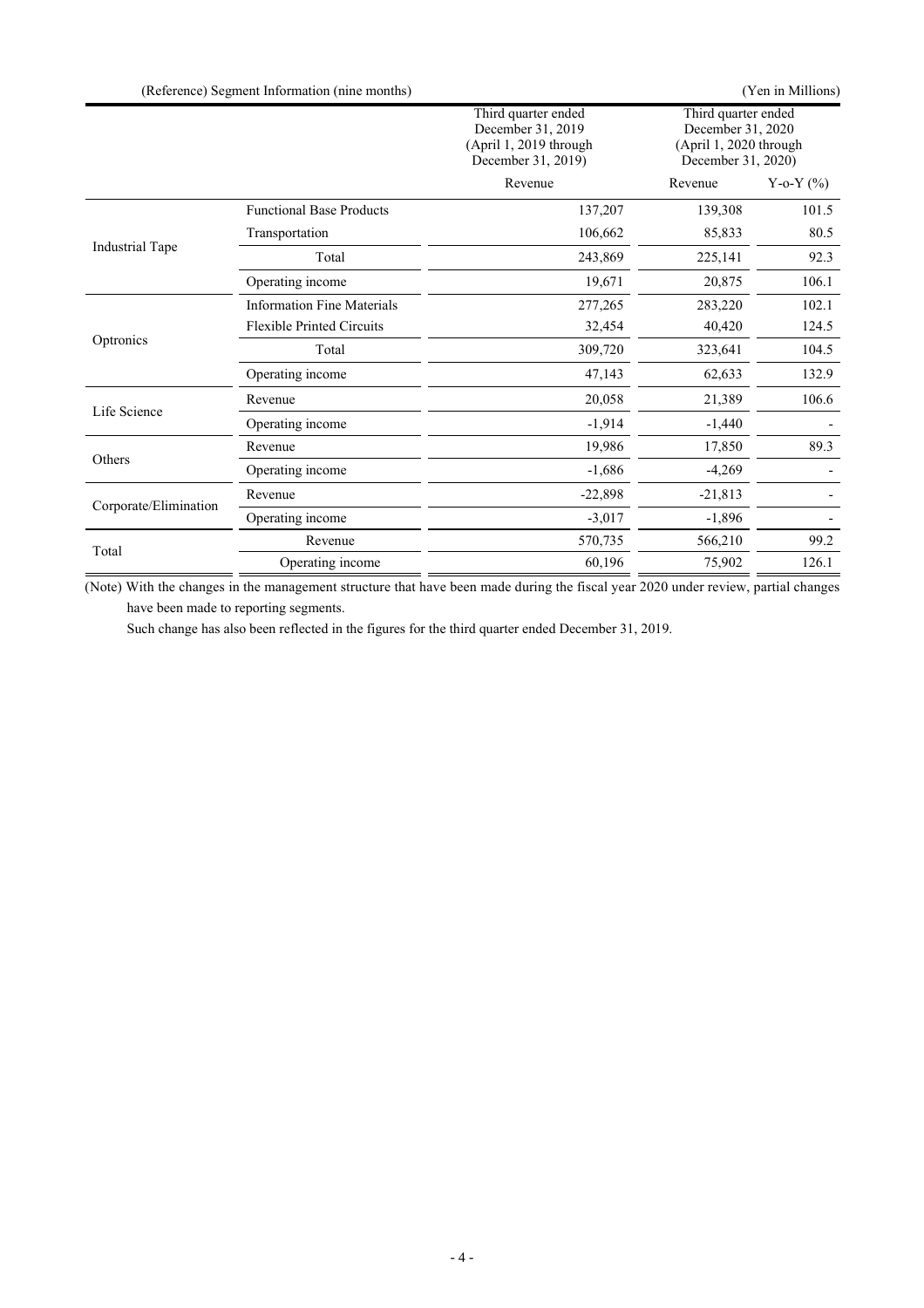|                       | (Reference) Segment Information (nine months) |                                                                                          |                                                                                          | (Yen in Millions) |
|-----------------------|-----------------------------------------------|------------------------------------------------------------------------------------------|------------------------------------------------------------------------------------------|-------------------|
|                       |                                               | Third quarter ended<br>December 31, 2019<br>(April 1, 2019 through<br>December 31, 2019) | Third quarter ended<br>December 31, 2020<br>(April 1, 2020 through<br>December 31, 2020) |                   |
|                       |                                               | Revenue                                                                                  | Revenue                                                                                  | Y-o-Y $(%)$       |
|                       | <b>Functional Base Products</b>               | 137,207                                                                                  | 139,308                                                                                  | 101.5             |
|                       | Transportation                                | 106,662                                                                                  | 85,833                                                                                   | 80.5              |
| Industrial Tape       | Total                                         | 243,869                                                                                  | 225,141                                                                                  | 92.3              |
|                       | Operating income                              | 19,671                                                                                   | 20,875                                                                                   | 106.1             |
|                       | <b>Information Fine Materials</b>             | 277,265                                                                                  | 283,220                                                                                  | 102.1             |
|                       | <b>Flexible Printed Circuits</b>              | 32,454                                                                                   | 40,420                                                                                   | 124.5             |
| Optronics             | Total                                         | 309,720                                                                                  | 323,641                                                                                  | 104.5             |
|                       | Operating income                              | 47,143                                                                                   | 62,633                                                                                   | 132.9             |
|                       | Revenue                                       | 20,058                                                                                   | 21,389                                                                                   | 106.6             |
| Life Science          | Operating income                              | $-1,914$                                                                                 | $-1,440$                                                                                 |                   |
|                       | Revenue                                       | 19,986                                                                                   | 17,850                                                                                   | 89.3              |
| Others                | Operating income                              | $-1,686$                                                                                 | $-4,269$                                                                                 |                   |
|                       | Revenue                                       | $-22,898$                                                                                | $-21,813$                                                                                |                   |
| Corporate/Elimination | Operating income                              | $-3,017$                                                                                 | $-1,896$                                                                                 |                   |
| Total                 | Revenue                                       | 570,735                                                                                  | 566,210                                                                                  | 99.2              |
|                       | Operating income                              | 60,196                                                                                   | 75,902                                                                                   | 126.1             |

(Note) With the changes in the management structure that have been made during the fiscal year 2020 under review, partial changes have been made to reporting segments.

Such change has also been reflected in the figures for the third quarter ended December 31, 2019.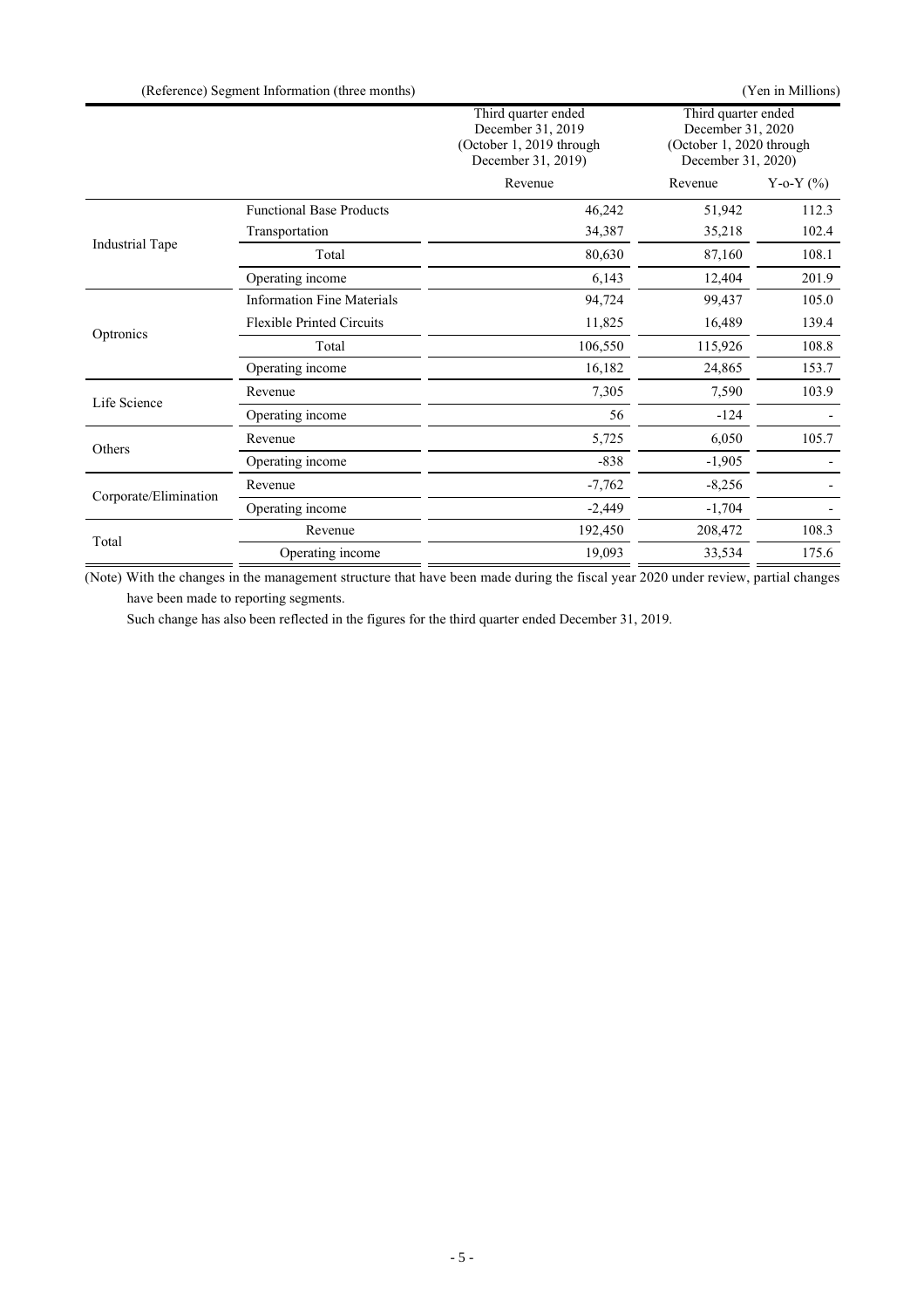| (Reference) Segment Information (three months) | (Yen in Millions) |
|------------------------------------------------|-------------------|
|------------------------------------------------|-------------------|

|                       |                                   | Third quarter ended<br>December 31, 2019<br>(October 1, 2019 through<br>December 31, 2019) | Third quarter ended<br>December 31, 2020<br>(October 1, 2020 through<br>December 31, 2020) |               |
|-----------------------|-----------------------------------|--------------------------------------------------------------------------------------------|--------------------------------------------------------------------------------------------|---------------|
|                       |                                   | Revenue                                                                                    | Revenue                                                                                    | Y-o-Y $(\% )$ |
|                       | <b>Functional Base Products</b>   | 46,242                                                                                     | 51,942                                                                                     | 112.3         |
|                       | Transportation                    | 34,387                                                                                     | 35,218                                                                                     | 102.4         |
| Industrial Tape       | Total                             | 80,630                                                                                     | 87,160                                                                                     | 108.1         |
|                       | Operating income                  | 6,143                                                                                      | 12,404                                                                                     | 201.9         |
|                       | <b>Information Fine Materials</b> | 94,724                                                                                     | 99,437                                                                                     | 105.0         |
|                       | <b>Flexible Printed Circuits</b>  | 11,825                                                                                     | 16,489                                                                                     | 139.4         |
| Optronics             | Total                             | 106,550                                                                                    | 115,926                                                                                    | 108.8         |
|                       | Operating income                  | 16,182                                                                                     | 24,865                                                                                     | 153.7         |
|                       | Revenue                           | 7,305                                                                                      | 7,590                                                                                      | 103.9         |
| Life Science          | Operating income                  | 56                                                                                         | $-124$                                                                                     |               |
|                       | Revenue                           | 5,725                                                                                      | 6,050                                                                                      | 105.7         |
| Others                | Operating income                  | $-838$                                                                                     | $-1,905$                                                                                   |               |
|                       | Revenue                           | $-7,762$                                                                                   | $-8,256$                                                                                   |               |
| Corporate/Elimination | Operating income                  | $-2,449$                                                                                   | $-1,704$                                                                                   |               |
| Total                 | Revenue                           | 192,450                                                                                    | 208,472                                                                                    | 108.3         |
|                       | Operating income                  | 19,093                                                                                     | 33,534                                                                                     | 175.6         |

(Note) With the changes in the management structure that have been made during the fiscal year 2020 under review, partial changes have been made to reporting segments.

Such change has also been reflected in the figures for the third quarter ended December 31, 2019.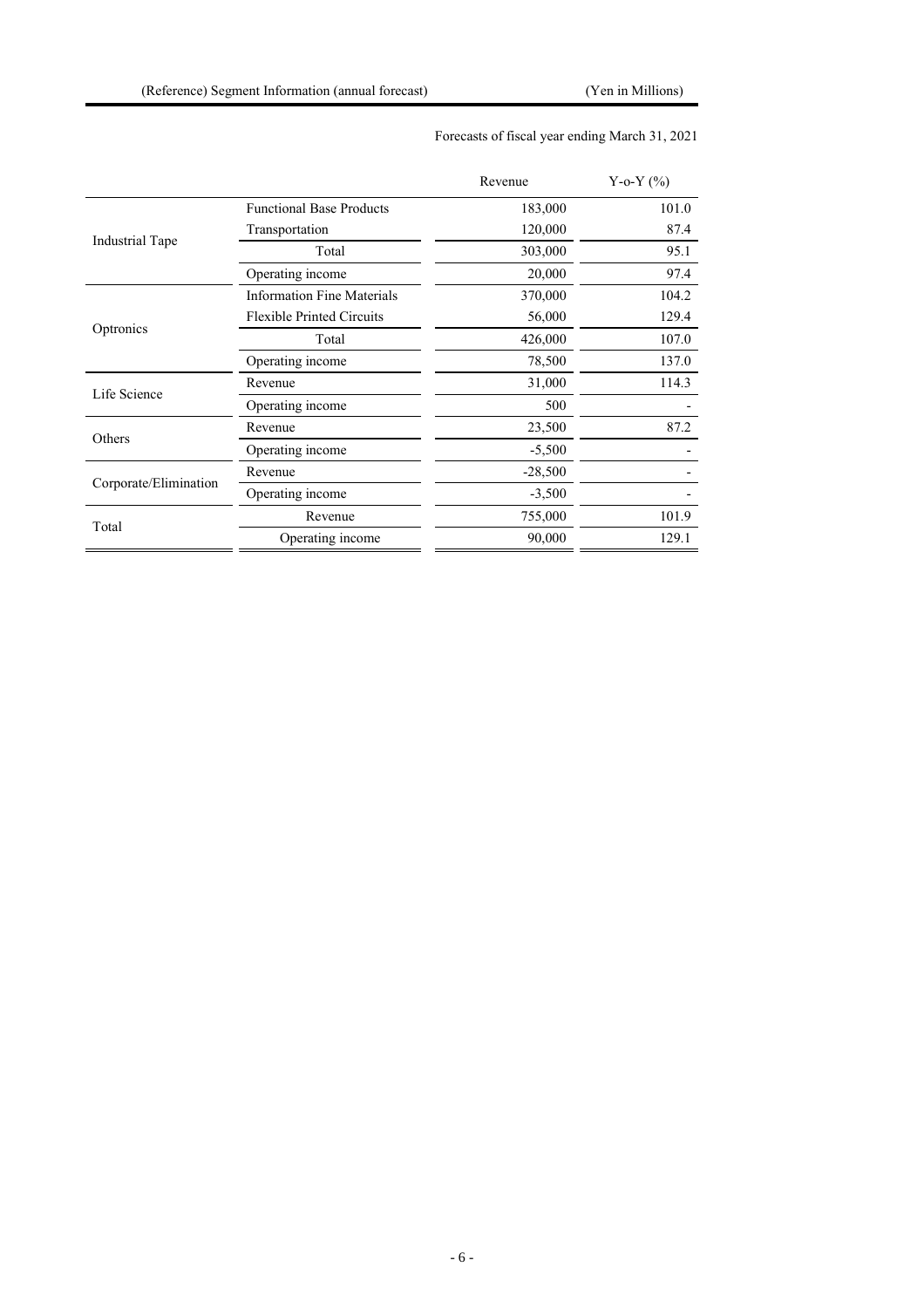|                       |                                   | Revenue   | Y-o-Y $(\% )$ |
|-----------------------|-----------------------------------|-----------|---------------|
|                       | <b>Functional Base Products</b>   | 183,000   | 101.0         |
| Industrial Tape       | Transportation                    | 120,000   | 87.4          |
|                       | Total                             | 303,000   | 95.1          |
|                       | Operating income                  | 20,000    | 97.4          |
|                       | <b>Information Fine Materials</b> | 370,000   | 104.2         |
| Optronics             | <b>Flexible Printed Circuits</b>  | 56,000    | 129.4         |
|                       | Total                             | 426,000   | 107.0         |
|                       | Operating income                  | 78,500    | 137.0         |
| Life Science          | Revenue                           | 31,000    | 114.3         |
|                       | Operating income                  | 500       |               |
|                       | Revenue                           | 23,500    | 87.2          |
| Others                | Operating income                  | $-5,500$  |               |
|                       | Revenue                           | $-28,500$ |               |
| Corporate/Elimination | Operating income                  | $-3,500$  |               |
|                       | Revenue                           | 755,000   | 101.9         |
| Total                 | Operating income                  | 90,000    | 129.1         |

## Forecasts of fiscal year ending March 31, 2021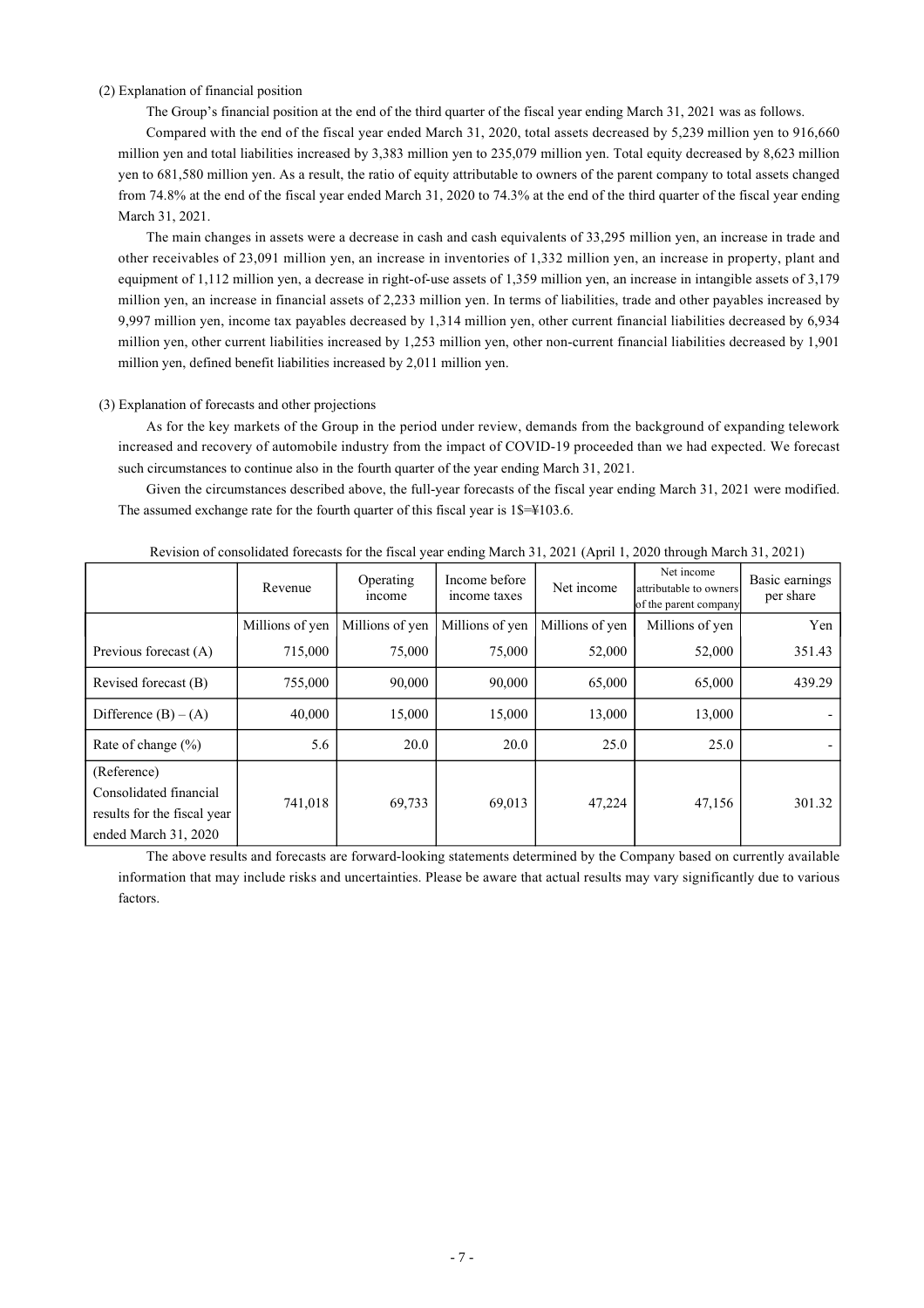### (2) Explanation of financial position

The Group's financial position at the end of the third quarter of the fiscal year ending March 31, 2021 was as follows.

Compared with the end of the fiscal year ended March 31, 2020, total assets decreased by 5,239 million yen to 916,660 million yen and total liabilities increased by 3,383 million yen to 235,079 million yen. Total equity decreased by 8,623 million yen to 681,580 million yen. As a result, the ratio of equity attributable to owners of the parent company to total assets changed from 74.8% at the end of the fiscal year ended March 31, 2020 to 74.3% at the end of the third quarter of the fiscal year ending March 31, 2021.

The main changes in assets were a decrease in cash and cash equivalents of 33,295 million yen, an increase in trade and other receivables of 23,091 million yen, an increase in inventories of 1,332 million yen, an increase in property, plant and equipment of 1,112 million yen, a decrease in right-of-use assets of 1,359 million yen, an increase in intangible assets of 3,179 million yen, an increase in financial assets of 2,233 million yen. In terms of liabilities, trade and other payables increased by 9,997 million yen, income tax payables decreased by 1,314 million yen, other current financial liabilities decreased by 6,934 million yen, other current liabilities increased by 1,253 million yen, other non-current financial liabilities decreased by 1,901 million yen, defined benefit liabilities increased by 2,011 million yen.

#### (3) Explanation of forecasts and other projections

As for the key markets of the Group in the period under review, demands from the background of expanding telework increased and recovery of automobile industry from the impact of COVID-19 proceeded than we had expected. We forecast such circumstances to continue also in the fourth quarter of the year ending March 31, 2021.

Given the circumstances described above, the full-year forecasts of the fiscal year ending March 31, 2021 were modified. The assumed exchange rate for the fourth quarter of this fiscal year is  $1\frac{1}{5} = 4103.6$ .

|                                                                                              | Revenue         | Operating<br><i>ncome</i> | Income before<br>income taxes | Net income      | Net income<br>attributable to owners<br>of the parent company | Basic earnings<br>per share |
|----------------------------------------------------------------------------------------------|-----------------|---------------------------|-------------------------------|-----------------|---------------------------------------------------------------|-----------------------------|
|                                                                                              | Millions of yen | Millions of yen           | Millions of yen               | Millions of yen | Millions of yen                                               | Yen                         |
| Previous forecast (A)                                                                        | 715,000         | 75,000                    | 75,000                        | 52,000          | 52,000                                                        | 351.43                      |
| Revised forecast (B)                                                                         | 755,000         | 90,000                    | 90,000                        | 65,000          | 65,000                                                        | 439.29                      |
| Difference $(B) - (A)$                                                                       | 40,000          | 15,000                    | 15,000                        | 13,000          | 13,000                                                        |                             |
| Rate of change $(\% )$                                                                       | 5.6             | 20.0                      | 20.0                          | 25.0            | 25.0                                                          |                             |
| (Reference)<br>Consolidated financial<br>results for the fiscal year<br>ended March 31, 2020 | 741,018         | 69,733                    | 69,013                        | 47,224          | 47,156                                                        | 301.32                      |

Revision of consolidated forecasts for the fiscal year ending March 31, 2021 (April 1, 2020 through March 31, 2021)

The above results and forecasts are forward-looking statements determined by the Company based on currently available information that may include risks and uncertainties. Please be aware that actual results may vary significantly due to various factors.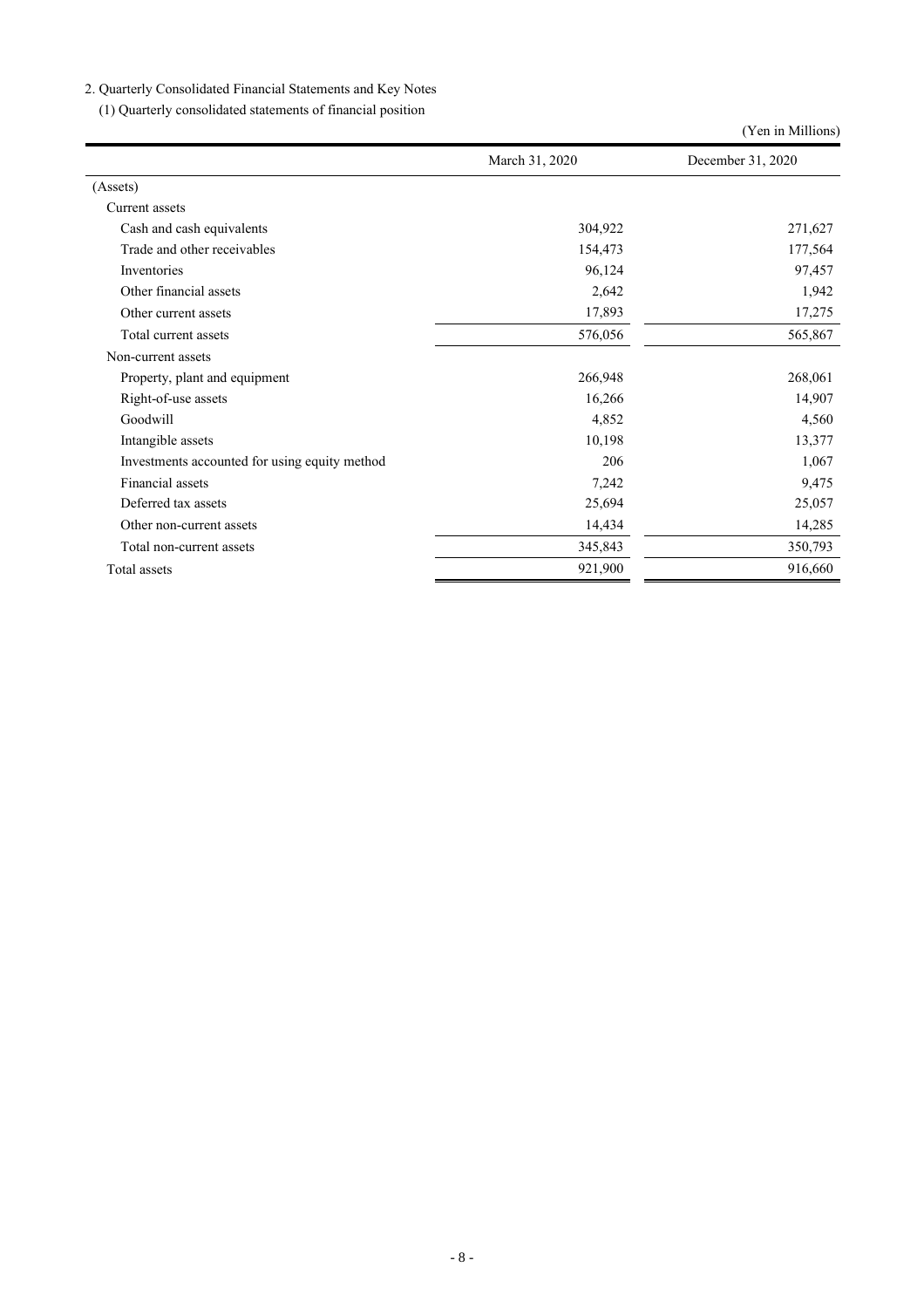## 2. Quarterly Consolidated Financial Statements and Key Notes

(1) Quarterly consolidated statements of financial position

|                                               |                | (Yen in Millions) |  |
|-----------------------------------------------|----------------|-------------------|--|
|                                               | March 31, 2020 | December 31, 2020 |  |
| (Assets)                                      |                |                   |  |
| Current assets                                |                |                   |  |
| Cash and cash equivalents                     | 304,922        | 271,627           |  |
| Trade and other receivables                   | 154,473        | 177,564           |  |
| Inventories                                   | 96,124         | 97,457            |  |
| Other financial assets                        | 2,642          | 1,942             |  |
| Other current assets                          | 17,893         | 17,275            |  |
| Total current assets                          | 576,056        | 565,867           |  |
| Non-current assets                            |                |                   |  |
| Property, plant and equipment                 | 266,948        | 268,061           |  |
| Right-of-use assets                           | 16,266         | 14,907            |  |
| Goodwill                                      | 4,852          | 4,560             |  |
| Intangible assets                             | 10,198         | 13,377            |  |
| Investments accounted for using equity method | 206            | 1,067             |  |
| Financial assets                              | 7,242          | 9,475             |  |
| Deferred tax assets                           | 25,694         | 25,057            |  |
| Other non-current assets                      | 14,434         | 14,285            |  |
| Total non-current assets                      | 345,843        | 350,793           |  |
| Total assets                                  | 921,900        | 916,660           |  |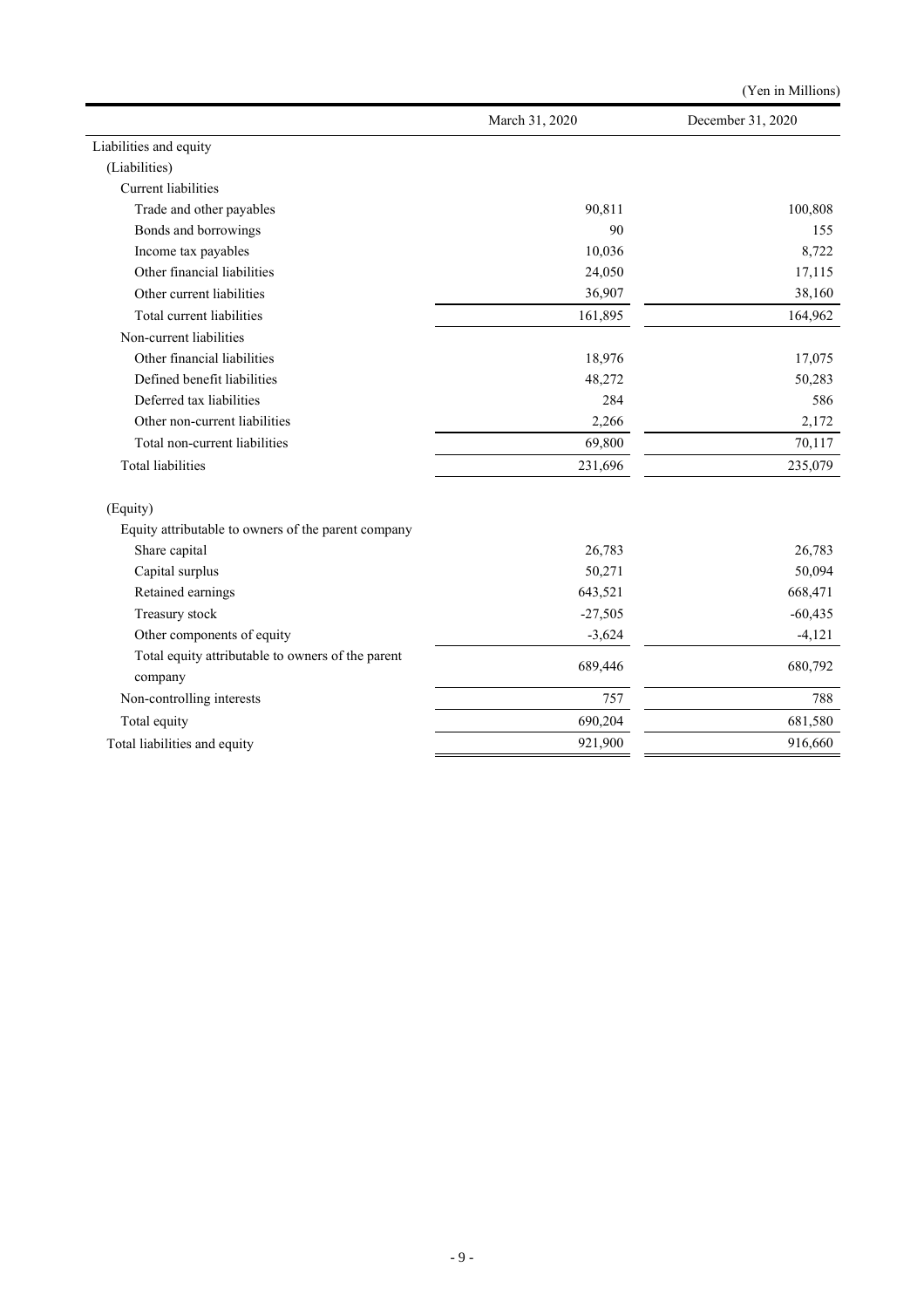|                                                              |                | (Yen in Millions) |
|--------------------------------------------------------------|----------------|-------------------|
|                                                              | March 31, 2020 | December 31, 2020 |
| Liabilities and equity                                       |                |                   |
| (Liabilities)                                                |                |                   |
| Current liabilities                                          |                |                   |
| Trade and other payables                                     | 90,811         | 100,808           |
| Bonds and borrowings                                         | 90             | 155               |
| Income tax payables                                          | 10,036         | 8,722             |
| Other financial liabilities                                  | 24,050         | 17,115            |
| Other current liabilities                                    | 36,907         | 38,160            |
| Total current liabilities                                    | 161,895        | 164,962           |
| Non-current liabilities                                      |                |                   |
| Other financial liabilities                                  | 18,976         | 17,075            |
| Defined benefit liabilities                                  | 48,272         | 50,283            |
| Deferred tax liabilities                                     | 284            | 586               |
| Other non-current liabilities                                | 2,266          | 2,172             |
| Total non-current liabilities                                | 69,800         | 70,117            |
| <b>Total liabilities</b>                                     | 231,696        | 235,079           |
| (Equity)                                                     |                |                   |
| Equity attributable to owners of the parent company          |                |                   |
| Share capital                                                | 26,783         | 26,783            |
| Capital surplus                                              | 50,271         | 50,094            |
| Retained earnings                                            | 643,521        | 668,471           |
| Treasury stock                                               | $-27,505$      | $-60,435$         |
| Other components of equity                                   | $-3,624$       | $-4,121$          |
| Total equity attributable to owners of the parent<br>company | 689,446        | 680,792           |
| Non-controlling interests                                    | 757            | 788               |
| Total equity                                                 | 690,204        | 681,580           |
| Total liabilities and equity                                 | 921,900        | 916,660           |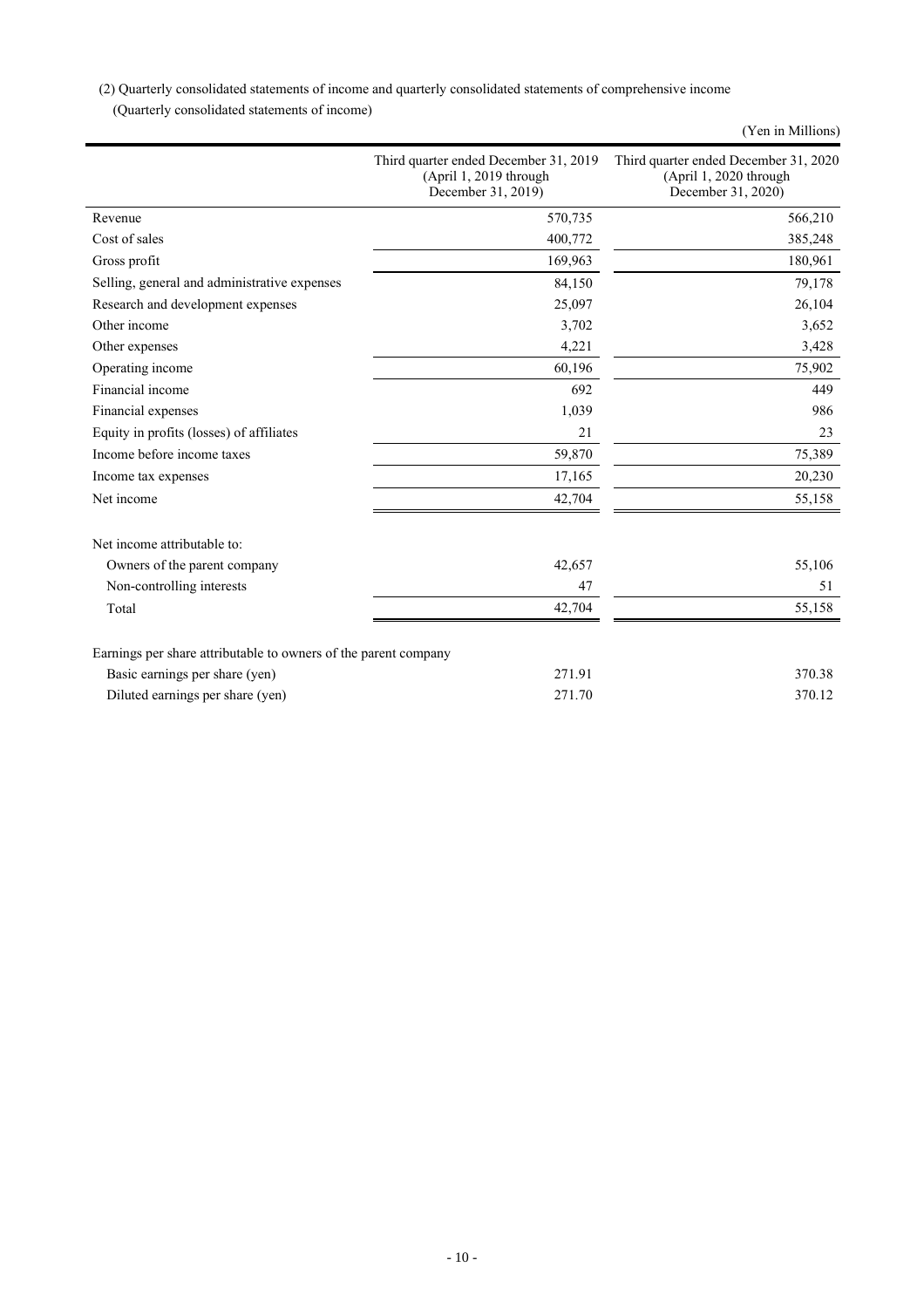(2) Quarterly consolidated statements of income and quarterly consolidated statements of comprehensive income

(Quarterly consolidated statements of income)

|                                                                 |                                                                                       | (Yen in Millions)                                                                     |
|-----------------------------------------------------------------|---------------------------------------------------------------------------------------|---------------------------------------------------------------------------------------|
|                                                                 | Third quarter ended December 31, 2019<br>(April 1, 2019 through<br>December 31, 2019) | Third quarter ended December 31, 2020<br>(April 1, 2020 through<br>December 31, 2020) |
| Revenue                                                         | 570,735                                                                               | 566,210                                                                               |
| Cost of sales                                                   | 400,772                                                                               | 385,248                                                                               |
| Gross profit                                                    | 169,963                                                                               | 180,961                                                                               |
| Selling, general and administrative expenses                    | 84,150                                                                                | 79,178                                                                                |
| Research and development expenses                               | 25,097                                                                                | 26,104                                                                                |
| Other income                                                    | 3,702                                                                                 | 3,652                                                                                 |
| Other expenses                                                  | 4,221                                                                                 | 3,428                                                                                 |
| Operating income                                                | 60,196                                                                                | 75,902                                                                                |
| Financial income                                                | 692                                                                                   | 449                                                                                   |
| Financial expenses                                              | 1,039                                                                                 | 986                                                                                   |
| Equity in profits (losses) of affiliates                        | 21                                                                                    | 23                                                                                    |
| Income before income taxes                                      | 59,870                                                                                | 75,389                                                                                |
| Income tax expenses                                             | 17,165                                                                                | 20,230                                                                                |
| Net income                                                      | 42,704                                                                                | 55,158                                                                                |
| Net income attributable to:                                     |                                                                                       |                                                                                       |
| Owners of the parent company                                    | 42,657                                                                                | 55,106                                                                                |
| Non-controlling interests                                       | 47                                                                                    | 51                                                                                    |
| Total                                                           | 42,704                                                                                | 55,158                                                                                |
| Earnings per share attributable to owners of the parent company |                                                                                       |                                                                                       |
| Basic earnings per share (yen)                                  | 271.91                                                                                | 370.38                                                                                |
| Diluted earnings per share (yen)                                | 271.70                                                                                | 370.12                                                                                |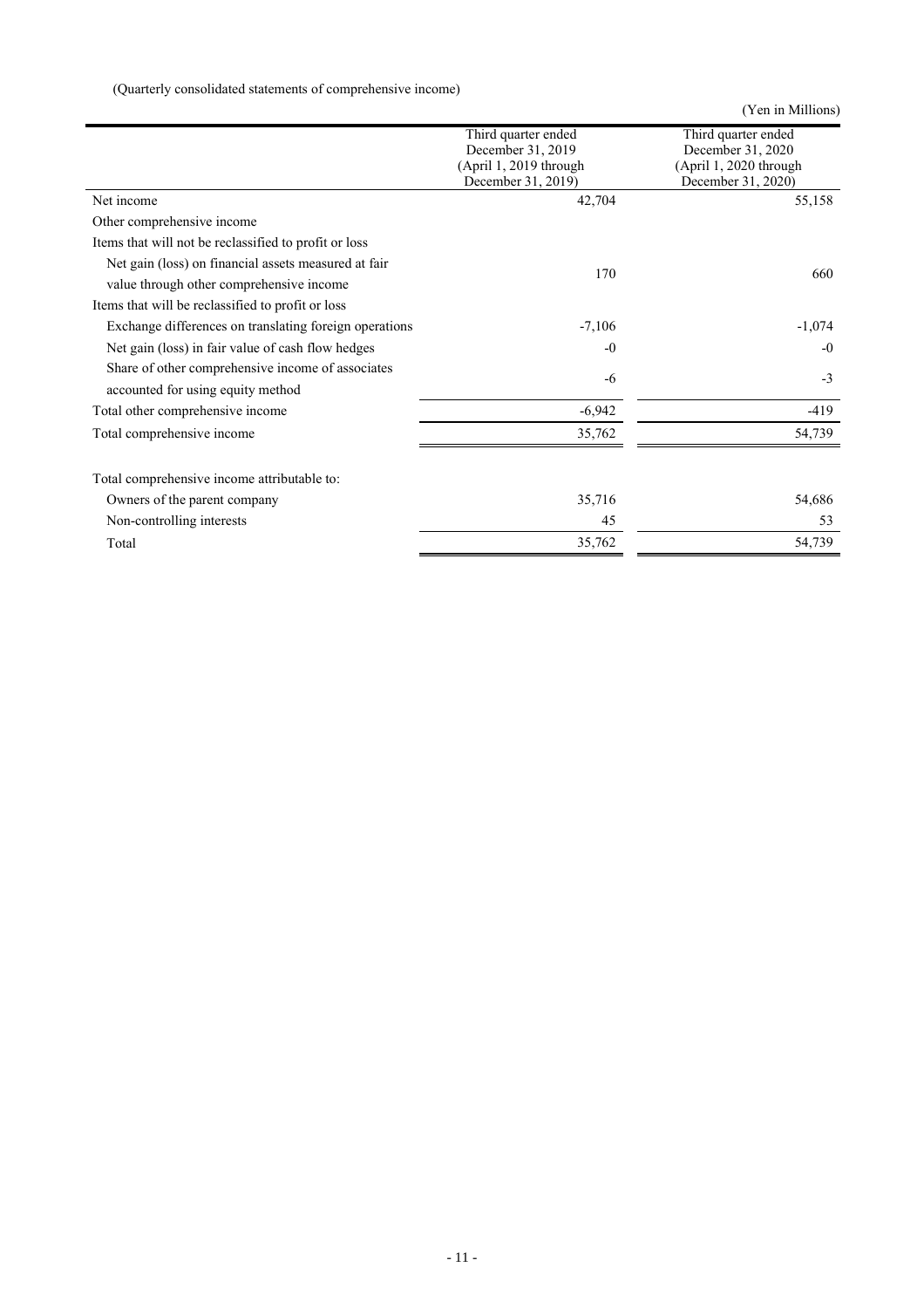(Quarterly consolidated statements of comprehensive income)

(Yen in Millions)

|                                                        | Third quarter ended    | Third quarter ended    |
|--------------------------------------------------------|------------------------|------------------------|
|                                                        | December 31, 2019      | December 31, 2020      |
|                                                        | (April 1, 2019 through | (April 1, 2020 through |
|                                                        | December 31, 2019)     | December 31, 2020)     |
| Net income                                             | 42,704                 | 55,158                 |
| Other comprehensive income                             |                        |                        |
| Items that will not be reclassified to profit or loss  |                        |                        |
| Net gain (loss) on financial assets measured at fair   | 170                    | 660                    |
| value through other comprehensive income               |                        |                        |
| Items that will be reclassified to profit or loss      |                        |                        |
| Exchange differences on translating foreign operations | $-7,106$               | $-1,074$               |
| Net gain (loss) in fair value of cash flow hedges      | $-0$                   | $-0$                   |
| Share of other comprehensive income of associates      | -6                     | $-3$                   |
| accounted for using equity method                      |                        |                        |
| Total other comprehensive income                       | $-6,942$               | $-419$                 |
| Total comprehensive income                             | 35,762                 | 54,739                 |
|                                                        |                        |                        |
| Total comprehensive income attributable to:            |                        |                        |
| Owners of the parent company                           | 35,716                 | 54,686                 |
| Non-controlling interests                              | 45                     | 53                     |
| Total                                                  | 35,762                 | 54,739                 |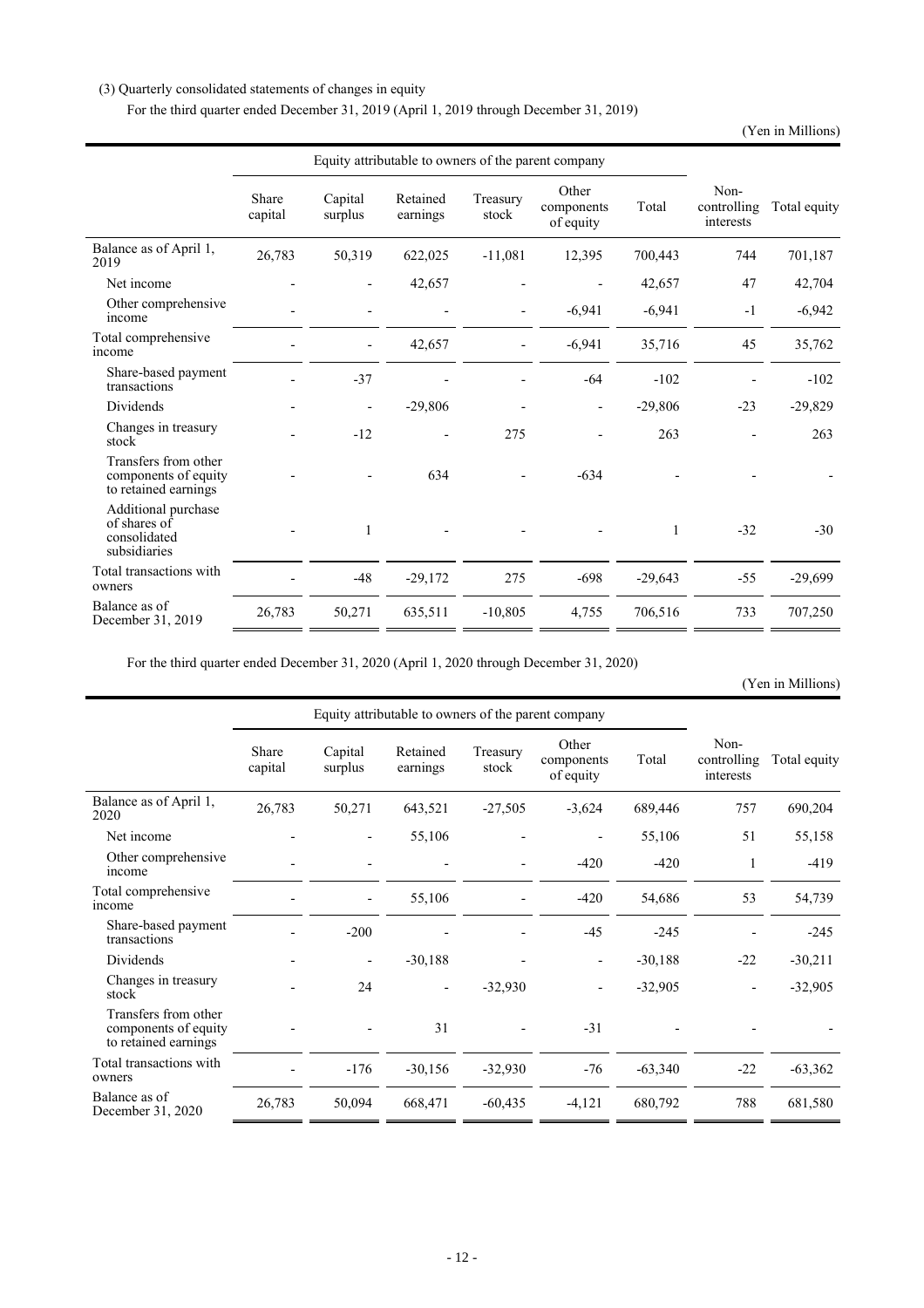## (3) Quarterly consolidated statements of changes in equity

For the third quarter ended December 31, 2019 (April 1, 2019 through December 31, 2019)

(Yen in Millions)

|                                                                      | Equity attributable to owners of the parent company |                              |                      |                          |                                  |           |                                  |              |
|----------------------------------------------------------------------|-----------------------------------------------------|------------------------------|----------------------|--------------------------|----------------------------------|-----------|----------------------------------|--------------|
|                                                                      | Share<br>capital                                    | Capital<br>surplus           | Retained<br>earnings | Treasury<br>stock        | Other<br>components<br>of equity | Total     | Non-<br>controlling<br>interests | Total equity |
| Balance as of April 1,<br>2019                                       | 26,783                                              | 50,319                       | 622,025              | $-11,081$                | 12,395                           | 700,443   | 744                              | 701,187      |
| Net income                                                           |                                                     |                              | 42,657               |                          |                                  | 42,657    | 47                               | 42,704       |
| Other comprehensive<br>income                                        |                                                     |                              |                      | $\overline{\phantom{0}}$ | $-6,941$                         | $-6,941$  | $-1$                             | $-6,942$     |
| Total comprehensive<br>income                                        |                                                     | $\overline{\phantom{0}}$     | 42,657               | $\overline{\phantom{0}}$ | $-6,941$                         | 35,716    | 45                               | 35,762       |
| Share-based payment<br>transactions                                  |                                                     | $-37$                        |                      |                          | $-64$                            | $-102$    |                                  | $-102$       |
| <b>Dividends</b>                                                     |                                                     | $\qquad \qquad \blacksquare$ | $-29,806$            |                          |                                  | $-29,806$ | $-23$                            | $-29,829$    |
| Changes in treasury<br>stock                                         |                                                     | $-12$                        |                      | 275                      |                                  | 263       |                                  | 263          |
| Transfers from other<br>components of equity<br>to retained earnings |                                                     |                              | 634                  |                          | $-634$                           |           |                                  |              |
| Additional purchase<br>of shares of<br>consolidated<br>subsidiaries  |                                                     | 1                            |                      |                          |                                  | 1         | $-32$                            | $-30$        |
| Total transactions with<br>owners                                    |                                                     | $-48$                        | $-29,172$            | 275                      | $-698$                           | $-29,643$ | $-55$                            | $-29,699$    |
| Balance as of<br>December 31, 2019                                   | 26,783                                              | 50,271                       | 635,511              | $-10,805$                | 4,755                            | 706,516   | 733                              | 707,250      |

For the third quarter ended December 31, 2020 (April 1, 2020 through December 31, 2020)

(Yen in Millions)

|                                                                      | Equity attributable to owners of the parent company |                          |                      |                   |                                  |           |                                  |              |
|----------------------------------------------------------------------|-----------------------------------------------------|--------------------------|----------------------|-------------------|----------------------------------|-----------|----------------------------------|--------------|
|                                                                      | Share<br>capital                                    | Capital<br>surplus       | Retained<br>earnings | Treasury<br>stock | Other<br>components<br>of equity | Total     | Non-<br>controlling<br>interests | Total equity |
| Balance as of April 1,<br>2020                                       | 26,783                                              | 50,271                   | 643,521              | $-27,505$         | $-3,624$                         | 689,446   | 757                              | 690,204      |
| Net income                                                           |                                                     |                          | 55,106               |                   |                                  | 55,106    | 51                               | 55,158       |
| Other comprehensive<br>income                                        |                                                     |                          |                      |                   | $-420$                           | $-420$    | 1                                | $-419$       |
| Total comprehensive<br>income                                        |                                                     |                          | 55,106               |                   | $-420$                           | 54,686    | 53                               | 54,739       |
| Share-based payment<br>transactions                                  |                                                     | $-200$                   |                      |                   | $-45$                            | $-245$    |                                  | $-245$       |
| Dividends                                                            |                                                     | $\overline{\phantom{0}}$ | $-30,188$            |                   |                                  | $-30,188$ | $-22$                            | $-30,211$    |
| Changes in treasury<br>stock                                         |                                                     | 24                       |                      | $-32,930$         |                                  | $-32,905$ |                                  | $-32,905$    |
| Transfers from other<br>components of equity<br>to retained earnings |                                                     |                          | 31                   |                   | $-31$                            |           |                                  |              |
| Total transactions with<br>owners                                    |                                                     | $-176$                   | $-30,156$            | $-32,930$         | $-76$                            | $-63,340$ | $-22$                            | $-63,362$    |
| Balance as of<br>December 31, 2020                                   | 26,783                                              | 50,094                   | 668,471              | $-60,435$         | $-4,121$                         | 680,792   | 788                              | 681,580      |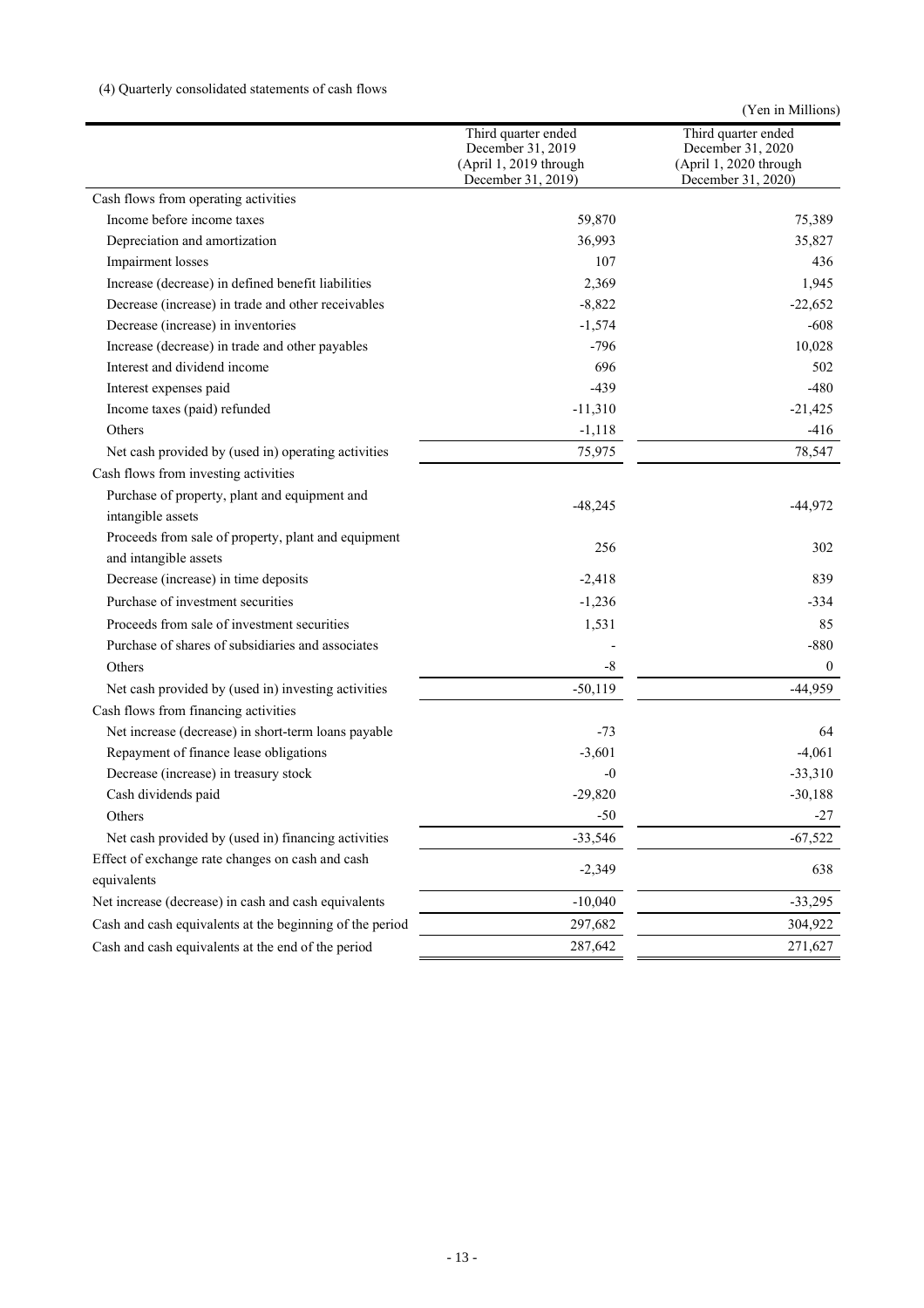## (4) Quarterly consolidated statements of cash flows

| Third quarter ended<br>Third quarter ended<br>December 31, 2019<br>December 31, 2020<br>(April 1, 2019 through<br>(April 1, 2020 through<br>December 31, 2019)<br>December 31, 2020)<br>Cash flows from operating activities<br>Income before income taxes<br>59,870<br>75,389<br>36,993<br>Depreciation and amortization<br>35,827<br>107<br>Impairment losses<br>436<br>Increase (decrease) in defined benefit liabilities<br>1,945<br>2,369<br>Decrease (increase) in trade and other receivables<br>$-8,822$<br>$-22,652$<br>Decrease (increase) in inventories<br>$-608$<br>$-1,574$<br>$-796$<br>10,028<br>Increase (decrease) in trade and other payables<br>Interest and dividend income<br>696<br>502<br>Interest expenses paid<br>$-439$<br>$-480$<br>Income taxes (paid) refunded<br>$-11,310$<br>$-21,425$<br>$-1,118$<br>$-416$<br>Others<br>Net cash provided by (used in) operating activities<br>75,975<br>78,547<br>Cash flows from investing activities<br>Purchase of property, plant and equipment and<br>$-48,245$<br>$-44,972$<br>intangible assets<br>Proceeds from sale of property, plant and equipment<br>256<br>302<br>and intangible assets<br>Decrease (increase) in time deposits<br>$-2,418$<br>839<br>Purchase of investment securities<br>$-1,236$<br>$-334$<br>Proceeds from sale of investment securities<br>1,531<br>85<br>Purchase of shares of subsidiaries and associates<br>$-880$<br>Others<br>$-8$<br>$\mathbf{0}$<br>$-50,119$<br>$-44,959$<br>Net cash provided by (used in) investing activities<br>Cash flows from financing activities<br>Net increase (decrease) in short-term loans payable<br>64<br>-73<br>Repayment of finance lease obligations<br>$-3,601$<br>$-4,061$<br>Decrease (increase) in treasury stock<br>$-33,310$<br>-0<br>Cash dividends paid<br>$-29,820$<br>$-30,188$<br>Others<br>$-50$<br>$-27$<br>Net cash provided by (used in) financing activities<br>$-33,546$<br>$-67,522$<br>Effect of exchange rate changes on cash and cash<br>$-2,349$<br>638<br>equivalents<br>Net increase (decrease) in cash and cash equivalents<br>$-10,040$<br>$-33,295$<br>Cash and cash equivalents at the beginning of the period<br>297,682<br>304,922<br>Cash and cash equivalents at the end of the period<br>287,642<br>271,627 |  | (Yen in Millions) |
|---------------------------------------------------------------------------------------------------------------------------------------------------------------------------------------------------------------------------------------------------------------------------------------------------------------------------------------------------------------------------------------------------------------------------------------------------------------------------------------------------------------------------------------------------------------------------------------------------------------------------------------------------------------------------------------------------------------------------------------------------------------------------------------------------------------------------------------------------------------------------------------------------------------------------------------------------------------------------------------------------------------------------------------------------------------------------------------------------------------------------------------------------------------------------------------------------------------------------------------------------------------------------------------------------------------------------------------------------------------------------------------------------------------------------------------------------------------------------------------------------------------------------------------------------------------------------------------------------------------------------------------------------------------------------------------------------------------------------------------------------------------------------------------------------------------------------------------------------------------------------------------------------------------------------------------------------------------------------------------------------------------------------------------------------------------------------------------------------------------------------------------------------------------------------------------------------------------------------------------------------------------------------------------------|--|-------------------|
|                                                                                                                                                                                                                                                                                                                                                                                                                                                                                                                                                                                                                                                                                                                                                                                                                                                                                                                                                                                                                                                                                                                                                                                                                                                                                                                                                                                                                                                                                                                                                                                                                                                                                                                                                                                                                                                                                                                                                                                                                                                                                                                                                                                                                                                                                             |  |                   |
|                                                                                                                                                                                                                                                                                                                                                                                                                                                                                                                                                                                                                                                                                                                                                                                                                                                                                                                                                                                                                                                                                                                                                                                                                                                                                                                                                                                                                                                                                                                                                                                                                                                                                                                                                                                                                                                                                                                                                                                                                                                                                                                                                                                                                                                                                             |  |                   |
|                                                                                                                                                                                                                                                                                                                                                                                                                                                                                                                                                                                                                                                                                                                                                                                                                                                                                                                                                                                                                                                                                                                                                                                                                                                                                                                                                                                                                                                                                                                                                                                                                                                                                                                                                                                                                                                                                                                                                                                                                                                                                                                                                                                                                                                                                             |  |                   |
|                                                                                                                                                                                                                                                                                                                                                                                                                                                                                                                                                                                                                                                                                                                                                                                                                                                                                                                                                                                                                                                                                                                                                                                                                                                                                                                                                                                                                                                                                                                                                                                                                                                                                                                                                                                                                                                                                                                                                                                                                                                                                                                                                                                                                                                                                             |  |                   |
|                                                                                                                                                                                                                                                                                                                                                                                                                                                                                                                                                                                                                                                                                                                                                                                                                                                                                                                                                                                                                                                                                                                                                                                                                                                                                                                                                                                                                                                                                                                                                                                                                                                                                                                                                                                                                                                                                                                                                                                                                                                                                                                                                                                                                                                                                             |  |                   |
|                                                                                                                                                                                                                                                                                                                                                                                                                                                                                                                                                                                                                                                                                                                                                                                                                                                                                                                                                                                                                                                                                                                                                                                                                                                                                                                                                                                                                                                                                                                                                                                                                                                                                                                                                                                                                                                                                                                                                                                                                                                                                                                                                                                                                                                                                             |  |                   |
|                                                                                                                                                                                                                                                                                                                                                                                                                                                                                                                                                                                                                                                                                                                                                                                                                                                                                                                                                                                                                                                                                                                                                                                                                                                                                                                                                                                                                                                                                                                                                                                                                                                                                                                                                                                                                                                                                                                                                                                                                                                                                                                                                                                                                                                                                             |  |                   |
|                                                                                                                                                                                                                                                                                                                                                                                                                                                                                                                                                                                                                                                                                                                                                                                                                                                                                                                                                                                                                                                                                                                                                                                                                                                                                                                                                                                                                                                                                                                                                                                                                                                                                                                                                                                                                                                                                                                                                                                                                                                                                                                                                                                                                                                                                             |  |                   |
|                                                                                                                                                                                                                                                                                                                                                                                                                                                                                                                                                                                                                                                                                                                                                                                                                                                                                                                                                                                                                                                                                                                                                                                                                                                                                                                                                                                                                                                                                                                                                                                                                                                                                                                                                                                                                                                                                                                                                                                                                                                                                                                                                                                                                                                                                             |  |                   |
|                                                                                                                                                                                                                                                                                                                                                                                                                                                                                                                                                                                                                                                                                                                                                                                                                                                                                                                                                                                                                                                                                                                                                                                                                                                                                                                                                                                                                                                                                                                                                                                                                                                                                                                                                                                                                                                                                                                                                                                                                                                                                                                                                                                                                                                                                             |  |                   |
|                                                                                                                                                                                                                                                                                                                                                                                                                                                                                                                                                                                                                                                                                                                                                                                                                                                                                                                                                                                                                                                                                                                                                                                                                                                                                                                                                                                                                                                                                                                                                                                                                                                                                                                                                                                                                                                                                                                                                                                                                                                                                                                                                                                                                                                                                             |  |                   |
|                                                                                                                                                                                                                                                                                                                                                                                                                                                                                                                                                                                                                                                                                                                                                                                                                                                                                                                                                                                                                                                                                                                                                                                                                                                                                                                                                                                                                                                                                                                                                                                                                                                                                                                                                                                                                                                                                                                                                                                                                                                                                                                                                                                                                                                                                             |  |                   |
|                                                                                                                                                                                                                                                                                                                                                                                                                                                                                                                                                                                                                                                                                                                                                                                                                                                                                                                                                                                                                                                                                                                                                                                                                                                                                                                                                                                                                                                                                                                                                                                                                                                                                                                                                                                                                                                                                                                                                                                                                                                                                                                                                                                                                                                                                             |  |                   |
|                                                                                                                                                                                                                                                                                                                                                                                                                                                                                                                                                                                                                                                                                                                                                                                                                                                                                                                                                                                                                                                                                                                                                                                                                                                                                                                                                                                                                                                                                                                                                                                                                                                                                                                                                                                                                                                                                                                                                                                                                                                                                                                                                                                                                                                                                             |  |                   |
|                                                                                                                                                                                                                                                                                                                                                                                                                                                                                                                                                                                                                                                                                                                                                                                                                                                                                                                                                                                                                                                                                                                                                                                                                                                                                                                                                                                                                                                                                                                                                                                                                                                                                                                                                                                                                                                                                                                                                                                                                                                                                                                                                                                                                                                                                             |  |                   |
|                                                                                                                                                                                                                                                                                                                                                                                                                                                                                                                                                                                                                                                                                                                                                                                                                                                                                                                                                                                                                                                                                                                                                                                                                                                                                                                                                                                                                                                                                                                                                                                                                                                                                                                                                                                                                                                                                                                                                                                                                                                                                                                                                                                                                                                                                             |  |                   |
|                                                                                                                                                                                                                                                                                                                                                                                                                                                                                                                                                                                                                                                                                                                                                                                                                                                                                                                                                                                                                                                                                                                                                                                                                                                                                                                                                                                                                                                                                                                                                                                                                                                                                                                                                                                                                                                                                                                                                                                                                                                                                                                                                                                                                                                                                             |  |                   |
|                                                                                                                                                                                                                                                                                                                                                                                                                                                                                                                                                                                                                                                                                                                                                                                                                                                                                                                                                                                                                                                                                                                                                                                                                                                                                                                                                                                                                                                                                                                                                                                                                                                                                                                                                                                                                                                                                                                                                                                                                                                                                                                                                                                                                                                                                             |  |                   |
|                                                                                                                                                                                                                                                                                                                                                                                                                                                                                                                                                                                                                                                                                                                                                                                                                                                                                                                                                                                                                                                                                                                                                                                                                                                                                                                                                                                                                                                                                                                                                                                                                                                                                                                                                                                                                                                                                                                                                                                                                                                                                                                                                                                                                                                                                             |  |                   |
|                                                                                                                                                                                                                                                                                                                                                                                                                                                                                                                                                                                                                                                                                                                                                                                                                                                                                                                                                                                                                                                                                                                                                                                                                                                                                                                                                                                                                                                                                                                                                                                                                                                                                                                                                                                                                                                                                                                                                                                                                                                                                                                                                                                                                                                                                             |  |                   |
|                                                                                                                                                                                                                                                                                                                                                                                                                                                                                                                                                                                                                                                                                                                                                                                                                                                                                                                                                                                                                                                                                                                                                                                                                                                                                                                                                                                                                                                                                                                                                                                                                                                                                                                                                                                                                                                                                                                                                                                                                                                                                                                                                                                                                                                                                             |  |                   |
|                                                                                                                                                                                                                                                                                                                                                                                                                                                                                                                                                                                                                                                                                                                                                                                                                                                                                                                                                                                                                                                                                                                                                                                                                                                                                                                                                                                                                                                                                                                                                                                                                                                                                                                                                                                                                                                                                                                                                                                                                                                                                                                                                                                                                                                                                             |  |                   |
|                                                                                                                                                                                                                                                                                                                                                                                                                                                                                                                                                                                                                                                                                                                                                                                                                                                                                                                                                                                                                                                                                                                                                                                                                                                                                                                                                                                                                                                                                                                                                                                                                                                                                                                                                                                                                                                                                                                                                                                                                                                                                                                                                                                                                                                                                             |  |                   |
|                                                                                                                                                                                                                                                                                                                                                                                                                                                                                                                                                                                                                                                                                                                                                                                                                                                                                                                                                                                                                                                                                                                                                                                                                                                                                                                                                                                                                                                                                                                                                                                                                                                                                                                                                                                                                                                                                                                                                                                                                                                                                                                                                                                                                                                                                             |  |                   |
|                                                                                                                                                                                                                                                                                                                                                                                                                                                                                                                                                                                                                                                                                                                                                                                                                                                                                                                                                                                                                                                                                                                                                                                                                                                                                                                                                                                                                                                                                                                                                                                                                                                                                                                                                                                                                                                                                                                                                                                                                                                                                                                                                                                                                                                                                             |  |                   |
|                                                                                                                                                                                                                                                                                                                                                                                                                                                                                                                                                                                                                                                                                                                                                                                                                                                                                                                                                                                                                                                                                                                                                                                                                                                                                                                                                                                                                                                                                                                                                                                                                                                                                                                                                                                                                                                                                                                                                                                                                                                                                                                                                                                                                                                                                             |  |                   |
|                                                                                                                                                                                                                                                                                                                                                                                                                                                                                                                                                                                                                                                                                                                                                                                                                                                                                                                                                                                                                                                                                                                                                                                                                                                                                                                                                                                                                                                                                                                                                                                                                                                                                                                                                                                                                                                                                                                                                                                                                                                                                                                                                                                                                                                                                             |  |                   |
|                                                                                                                                                                                                                                                                                                                                                                                                                                                                                                                                                                                                                                                                                                                                                                                                                                                                                                                                                                                                                                                                                                                                                                                                                                                                                                                                                                                                                                                                                                                                                                                                                                                                                                                                                                                                                                                                                                                                                                                                                                                                                                                                                                                                                                                                                             |  |                   |
|                                                                                                                                                                                                                                                                                                                                                                                                                                                                                                                                                                                                                                                                                                                                                                                                                                                                                                                                                                                                                                                                                                                                                                                                                                                                                                                                                                                                                                                                                                                                                                                                                                                                                                                                                                                                                                                                                                                                                                                                                                                                                                                                                                                                                                                                                             |  |                   |
|                                                                                                                                                                                                                                                                                                                                                                                                                                                                                                                                                                                                                                                                                                                                                                                                                                                                                                                                                                                                                                                                                                                                                                                                                                                                                                                                                                                                                                                                                                                                                                                                                                                                                                                                                                                                                                                                                                                                                                                                                                                                                                                                                                                                                                                                                             |  |                   |
|                                                                                                                                                                                                                                                                                                                                                                                                                                                                                                                                                                                                                                                                                                                                                                                                                                                                                                                                                                                                                                                                                                                                                                                                                                                                                                                                                                                                                                                                                                                                                                                                                                                                                                                                                                                                                                                                                                                                                                                                                                                                                                                                                                                                                                                                                             |  |                   |
|                                                                                                                                                                                                                                                                                                                                                                                                                                                                                                                                                                                                                                                                                                                                                                                                                                                                                                                                                                                                                                                                                                                                                                                                                                                                                                                                                                                                                                                                                                                                                                                                                                                                                                                                                                                                                                                                                                                                                                                                                                                                                                                                                                                                                                                                                             |  |                   |
|                                                                                                                                                                                                                                                                                                                                                                                                                                                                                                                                                                                                                                                                                                                                                                                                                                                                                                                                                                                                                                                                                                                                                                                                                                                                                                                                                                                                                                                                                                                                                                                                                                                                                                                                                                                                                                                                                                                                                                                                                                                                                                                                                                                                                                                                                             |  |                   |
|                                                                                                                                                                                                                                                                                                                                                                                                                                                                                                                                                                                                                                                                                                                                                                                                                                                                                                                                                                                                                                                                                                                                                                                                                                                                                                                                                                                                                                                                                                                                                                                                                                                                                                                                                                                                                                                                                                                                                                                                                                                                                                                                                                                                                                                                                             |  |                   |
|                                                                                                                                                                                                                                                                                                                                                                                                                                                                                                                                                                                                                                                                                                                                                                                                                                                                                                                                                                                                                                                                                                                                                                                                                                                                                                                                                                                                                                                                                                                                                                                                                                                                                                                                                                                                                                                                                                                                                                                                                                                                                                                                                                                                                                                                                             |  |                   |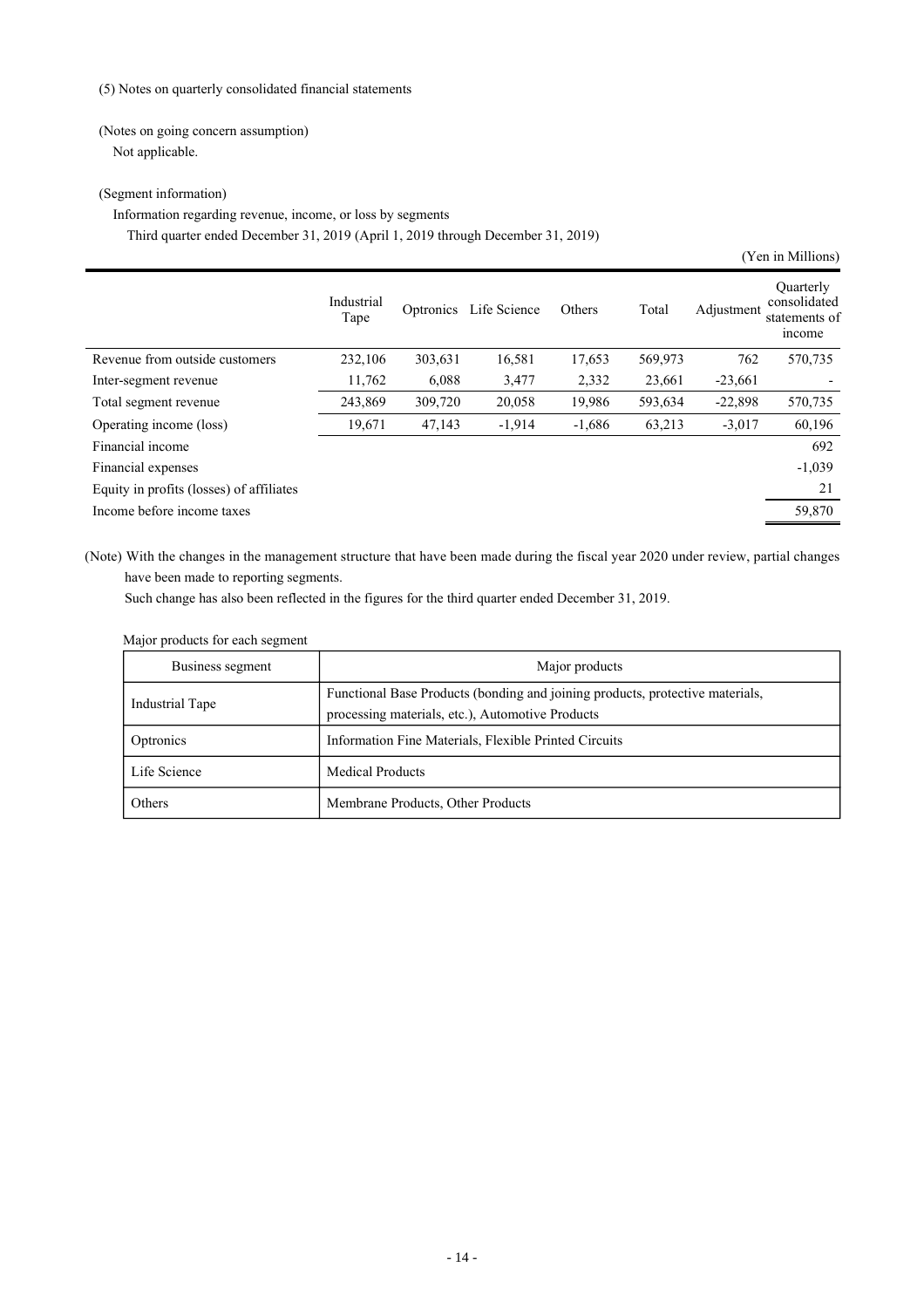(5) Notes on quarterly consolidated financial statements

## (Notes on going concern assumption)

Not applicable.

## (Segment information)

## Information regarding revenue, income, or loss by segments Third quarter ended December 31, 2019 (April 1, 2019 through December 31, 2019)

|                                          |                    |           |              |          |         |            | (Yen in Millions)                                    |
|------------------------------------------|--------------------|-----------|--------------|----------|---------|------------|------------------------------------------------------|
|                                          | Industrial<br>Tape | Optronics | Life Science | Others   | Total   | Adjustment | Quarterly<br>consolidated<br>statements of<br>income |
| Revenue from outside customers           | 232,106            | 303,631   | 16,581       | 17,653   | 569,973 | 762        | 570,735                                              |
| Inter-segment revenue                    | 11,762             | 6,088     | 3,477        | 2,332    | 23,661  | $-23,661$  |                                                      |
| Total segment revenue                    | 243,869            | 309,720   | 20,058       | 19,986   | 593,634 | $-22,898$  | 570,735                                              |
| Operating income (loss)                  | 19,671             | 47,143    | $-1,914$     | $-1,686$ | 63,213  | $-3,017$   | 60,196                                               |
| Financial income                         |                    |           |              |          |         |            | 692                                                  |
| Financial expenses                       |                    |           |              |          |         |            | $-1,039$                                             |
| Equity in profits (losses) of affiliates |                    |           |              |          |         |            | 21                                                   |
| Income before income taxes               |                    |           |              |          |         |            | 59,870                                               |
|                                          |                    |           |              |          |         |            |                                                      |

(Note) With the changes in the management structure that have been made during the fiscal year 2020 under review, partial changes have been made to reporting segments.

Such change has also been reflected in the figures for the third quarter ended December 31, 2019.

## Major products for each segment

| Business segment | Major products                                                                                                                    |
|------------------|-----------------------------------------------------------------------------------------------------------------------------------|
| Industrial Tape  | Functional Base Products (bonding and joining products, protective materials,<br>processing materials, etc.), Automotive Products |
| Optronics        | Information Fine Materials, Flexible Printed Circuits                                                                             |
| Life Science     | <b>Medical Products</b>                                                                                                           |
| Others           | Membrane Products, Other Products                                                                                                 |